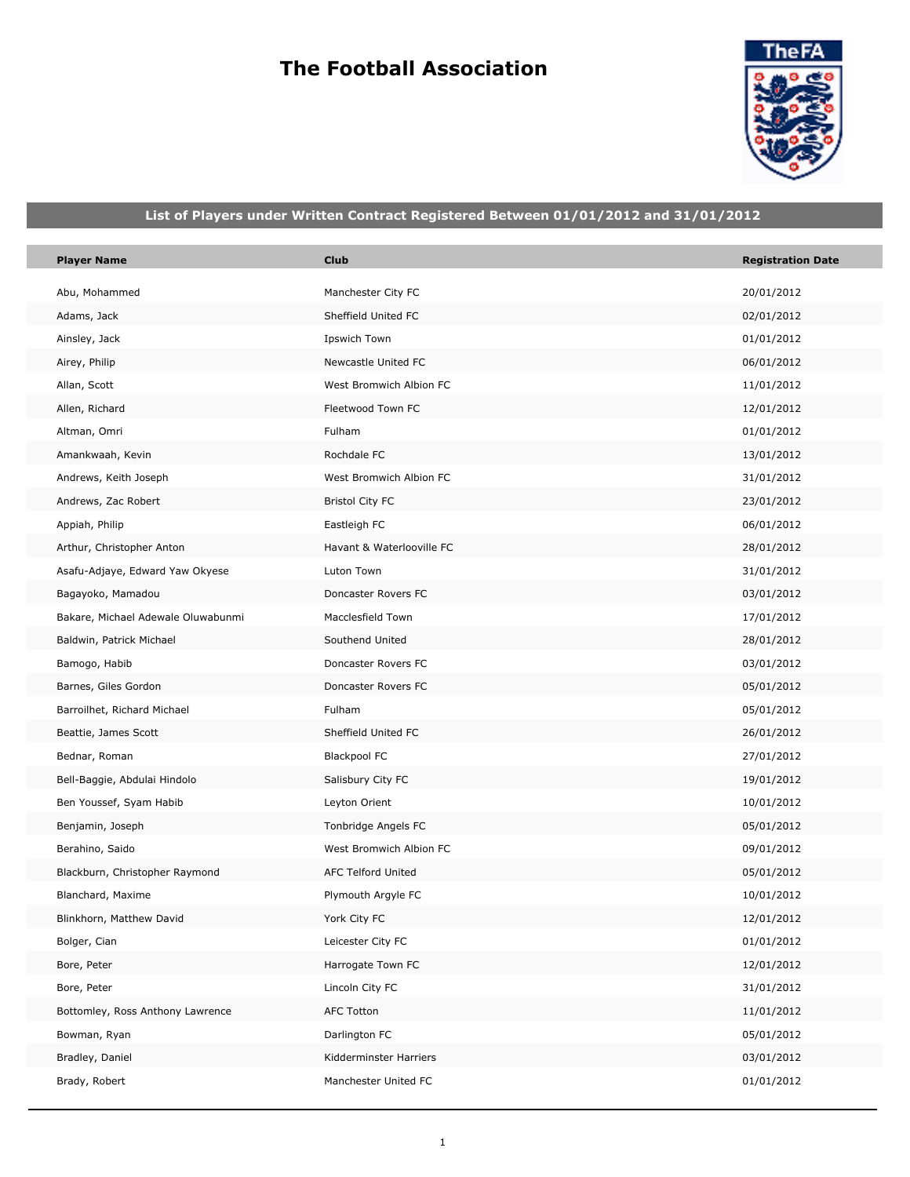# **The Football Association**

F



## **List of Players under Written Contract Registered Between 01/01/2012 and 31/01/2012**

| <b>Player Name</b>                 | <b>Club</b>               | <b>Registration Date</b> |
|------------------------------------|---------------------------|--------------------------|
| Abu, Mohammed                      | Manchester City FC        | 20/01/2012               |
| Adams, Jack                        | Sheffield United FC       | 02/01/2012               |
| Ainsley, Jack                      | Ipswich Town              | 01/01/2012               |
| Airey, Philip                      | Newcastle United FC       | 06/01/2012               |
| Allan, Scott                       | West Bromwich Albion FC   | 11/01/2012               |
| Allen, Richard                     | Fleetwood Town FC         | 12/01/2012               |
| Altman, Omri                       | Fulham                    | 01/01/2012               |
| Amankwaah, Kevin                   | Rochdale FC               | 13/01/2012               |
| Andrews, Keith Joseph              | West Bromwich Albion FC   | 31/01/2012               |
| Andrews, Zac Robert                | <b>Bristol City FC</b>    | 23/01/2012               |
| Appiah, Philip                     | Eastleigh FC              | 06/01/2012               |
| Arthur, Christopher Anton          | Havant & Waterlooville FC | 28/01/2012               |
| Asafu-Adjaye, Edward Yaw Okyese    | Luton Town                | 31/01/2012               |
| Bagayoko, Mamadou                  | Doncaster Rovers FC       | 03/01/2012               |
| Bakare, Michael Adewale Oluwabunmi | Macclesfield Town         | 17/01/2012               |
| Baldwin, Patrick Michael           | Southend United           | 28/01/2012               |
| Bamogo, Habib                      | Doncaster Rovers FC       | 03/01/2012               |
| Barnes, Giles Gordon               | Doncaster Rovers FC       | 05/01/2012               |
| Barroilhet, Richard Michael        | Fulham                    | 05/01/2012               |
| Beattie, James Scott               | Sheffield United FC       | 26/01/2012               |
| Bednar, Roman                      | <b>Blackpool FC</b>       | 27/01/2012               |
| Bell-Baggie, Abdulai Hindolo       | Salisbury City FC         | 19/01/2012               |
| Ben Youssef, Syam Habib            | Leyton Orient             | 10/01/2012               |
| Benjamin, Joseph                   | Tonbridge Angels FC       | 05/01/2012               |
| Berahino, Saido                    | West Bromwich Albion FC   | 09/01/2012               |
| Blackburn, Christopher Raymond     | AFC Telford United        | 05/01/2012               |
| Blanchard, Maxime                  | Plymouth Argyle FC        | 10/01/2012               |
| Blinkhorn, Matthew David           | York City FC              | 12/01/2012               |
| Bolger, Cian                       | Leicester City FC         | 01/01/2012               |
| Bore, Peter                        | Harrogate Town FC         | 12/01/2012               |
| Bore, Peter                        | Lincoln City FC           | 31/01/2012               |
| Bottomley, Ross Anthony Lawrence   | <b>AFC Totton</b>         | 11/01/2012               |
| Bowman, Ryan                       | Darlington FC             | 05/01/2012               |
| Bradley, Daniel                    | Kidderminster Harriers    | 03/01/2012               |
| Brady, Robert                      | Manchester United FC      | 01/01/2012               |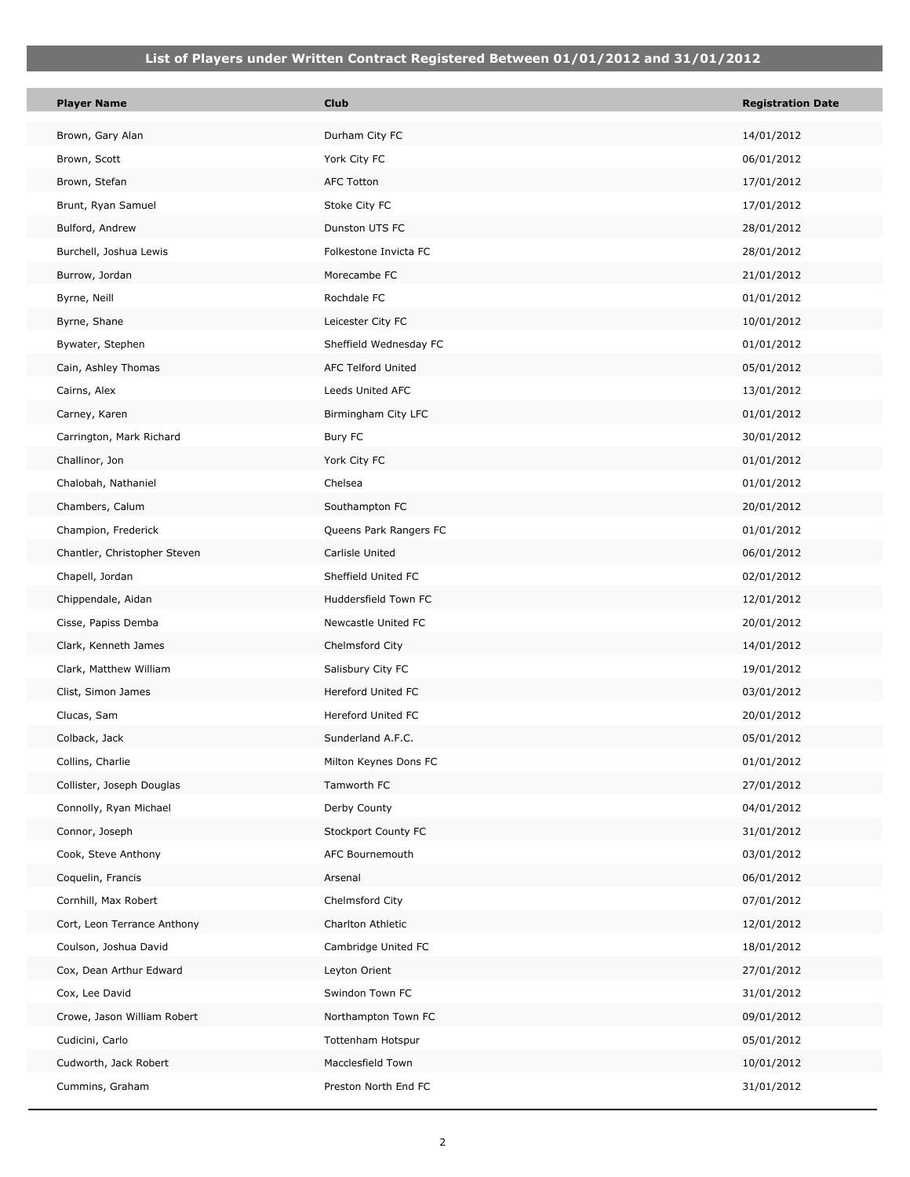| <b>Player Name</b>           | <b>Club</b>            | <b>Registration Date</b> |
|------------------------------|------------------------|--------------------------|
| Brown, Gary Alan             | Durham City FC         | 14/01/2012               |
| Brown, Scott                 | York City FC           | 06/01/2012               |
| Brown, Stefan                | <b>AFC Totton</b>      | 17/01/2012               |
| Brunt, Ryan Samuel           | Stoke City FC          | 17/01/2012               |
| Bulford, Andrew              | Dunston UTS FC         | 28/01/2012               |
| Burchell, Joshua Lewis       | Folkestone Invicta FC  | 28/01/2012               |
| Burrow, Jordan               | Morecambe FC           | 21/01/2012               |
| Byrne, Neill                 | Rochdale FC            | 01/01/2012               |
| Byrne, Shane                 | Leicester City FC      | 10/01/2012               |
| Bywater, Stephen             | Sheffield Wednesday FC | 01/01/2012               |
| Cain, Ashley Thomas          | AFC Telford United     | 05/01/2012               |
| Cairns, Alex                 | Leeds United AFC       | 13/01/2012               |
| Carney, Karen                | Birmingham City LFC    | 01/01/2012               |
| Carrington, Mark Richard     | Bury FC                | 30/01/2012               |
| Challinor, Jon               | York City FC           | 01/01/2012               |
| Chalobah, Nathaniel          | Chelsea                | 01/01/2012               |
| Chambers, Calum              | Southampton FC         | 20/01/2012               |
| Champion, Frederick          | Queens Park Rangers FC | 01/01/2012               |
| Chantler, Christopher Steven | Carlisle United        | 06/01/2012               |
| Chapell, Jordan              | Sheffield United FC    | 02/01/2012               |
| Chippendale, Aidan           | Huddersfield Town FC   | 12/01/2012               |
| Cisse, Papiss Demba          | Newcastle United FC    | 20/01/2012               |
| Clark, Kenneth James         | Chelmsford City        | 14/01/2012               |
| Clark, Matthew William       | Salisbury City FC      | 19/01/2012               |
| Clist, Simon James           | Hereford United FC     | 03/01/2012               |
| Clucas, Sam                  | Hereford United FC     | 20/01/2012               |
| Colback, Jack                | Sunderland A.F.C.      | 05/01/2012               |
| Collins, Charlie             | Milton Keynes Dons FC  | 01/01/2012               |
| Collister, Joseph Douglas    | Tamworth FC            | 27/01/2012               |
| Connolly, Ryan Michael       | Derby County           | 04/01/2012               |
| Connor, Joseph               | Stockport County FC    | 31/01/2012               |
| Cook, Steve Anthony          | AFC Bournemouth        | 03/01/2012               |
| Coquelin, Francis            | Arsenal                | 06/01/2012               |
| Cornhill, Max Robert         | Chelmsford City        | 07/01/2012               |
| Cort, Leon Terrance Anthony  | Charlton Athletic      | 12/01/2012               |
| Coulson, Joshua David        | Cambridge United FC    | 18/01/2012               |
| Cox, Dean Arthur Edward      | Leyton Orient          | 27/01/2012               |
| Cox, Lee David               | Swindon Town FC        | 31/01/2012               |
| Crowe, Jason William Robert  | Northampton Town FC    | 09/01/2012               |
| Cudicini, Carlo              | Tottenham Hotspur      | 05/01/2012               |
| Cudworth, Jack Robert        | Macclesfield Town      | 10/01/2012               |
| Cummins, Graham              | Preston North End FC   | 31/01/2012               |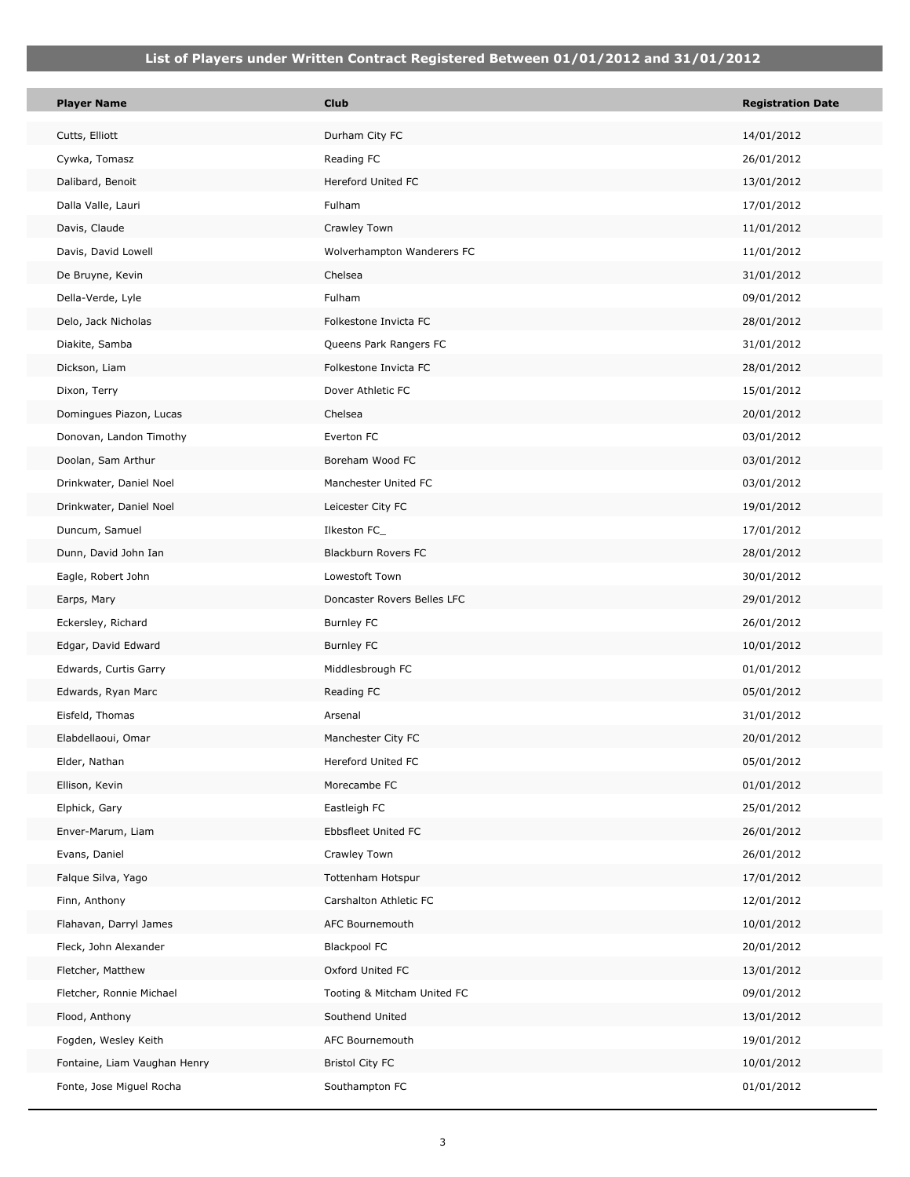П

| <b>Player Name</b>           | <b>Club</b>                 | <b>Registration Date</b> |
|------------------------------|-----------------------------|--------------------------|
| Cutts, Elliott               | Durham City FC              | 14/01/2012               |
| Cywka, Tomasz                | Reading FC                  | 26/01/2012               |
| Dalibard, Benoit             | Hereford United FC          | 13/01/2012               |
| Dalla Valle, Lauri           | Fulham                      | 17/01/2012               |
| Davis, Claude                | Crawley Town                | 11/01/2012               |
| Davis, David Lowell          | Wolverhampton Wanderers FC  | 11/01/2012               |
| De Bruyne, Kevin             | Chelsea                     | 31/01/2012               |
| Della-Verde, Lyle            | Fulham                      | 09/01/2012               |
| Delo, Jack Nicholas          | Folkestone Invicta FC       | 28/01/2012               |
| Diakite, Samba               | Queens Park Rangers FC      | 31/01/2012               |
| Dickson, Liam                | Folkestone Invicta FC       | 28/01/2012               |
| Dixon, Terry                 | Dover Athletic FC           | 15/01/2012               |
| Domingues Piazon, Lucas      | Chelsea                     | 20/01/2012               |
| Donovan, Landon Timothy      | Everton FC                  | 03/01/2012               |
| Doolan, Sam Arthur           | Boreham Wood FC             | 03/01/2012               |
| Drinkwater, Daniel Noel      | Manchester United FC        | 03/01/2012               |
| Drinkwater, Daniel Noel      | Leicester City FC           | 19/01/2012               |
| Duncum, Samuel               | Ilkeston FC_                | 17/01/2012               |
| Dunn, David John Ian         | Blackburn Rovers FC         | 28/01/2012               |
| Eagle, Robert John           | Lowestoft Town              | 30/01/2012               |
| Earps, Mary                  | Doncaster Rovers Belles LFC | 29/01/2012               |
| Eckersley, Richard           | <b>Burnley FC</b>           | 26/01/2012               |
| Edgar, David Edward          | <b>Burnley FC</b>           | 10/01/2012               |
| Edwards, Curtis Garry        | Middlesbrough FC            | 01/01/2012               |
| Edwards, Ryan Marc           | Reading FC                  | 05/01/2012               |
| Eisfeld, Thomas              | Arsenal                     | 31/01/2012               |
| Elabdellaoui, Omar           | Manchester City FC          | 20/01/2012               |
| Elder, Nathan                | Hereford United FC          | 05/01/2012               |
| Ellison, Kevin               | Morecambe FC                | 01/01/2012               |
| Elphick, Gary                | Eastleigh FC                | 25/01/2012               |
| Enver-Marum, Liam            | Ebbsfleet United FC         | 26/01/2012               |
| Evans, Daniel                | Crawley Town                | 26/01/2012               |
| Falque Silva, Yago           | Tottenham Hotspur           | 17/01/2012               |
| Finn, Anthony                | Carshalton Athletic FC      | 12/01/2012               |
| Flahavan, Darryl James       | AFC Bournemouth             | 10/01/2012               |
| Fleck, John Alexander        | <b>Blackpool FC</b>         | 20/01/2012               |
| Fletcher, Matthew            | Oxford United FC            | 13/01/2012               |
| Fletcher, Ronnie Michael     | Tooting & Mitcham United FC | 09/01/2012               |
| Flood, Anthony               | Southend United             | 13/01/2012               |
| Fogden, Wesley Keith         | AFC Bournemouth             | 19/01/2012               |
| Fontaine, Liam Vaughan Henry | <b>Bristol City FC</b>      | 10/01/2012               |
| Fonte, Jose Miguel Rocha     | Southampton FC              | 01/01/2012               |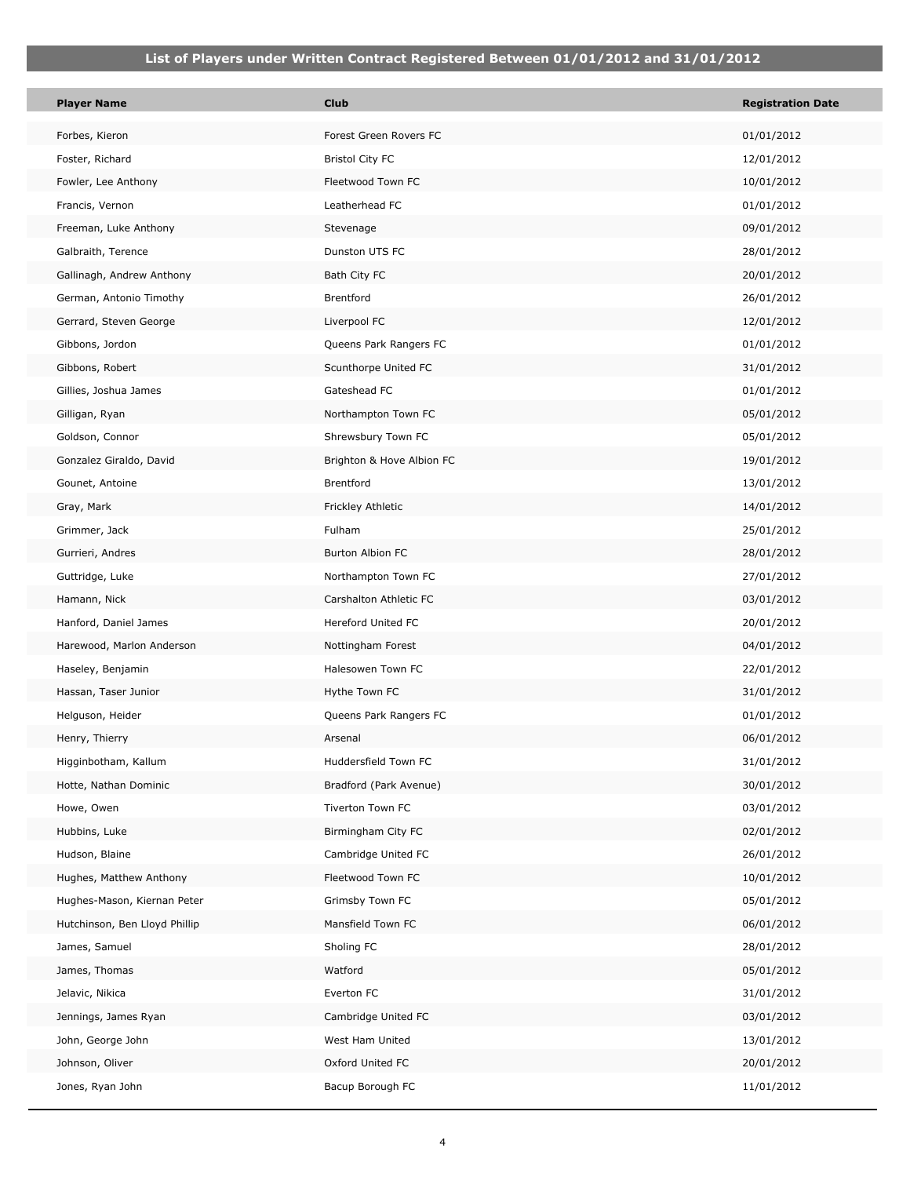| Player Name                   | <b>Club</b>               | <b>Registration Date</b> |
|-------------------------------|---------------------------|--------------------------|
| Forbes, Kieron                | Forest Green Rovers FC    | 01/01/2012               |
| Foster, Richard               | <b>Bristol City FC</b>    | 12/01/2012               |
| Fowler, Lee Anthony           | Fleetwood Town FC         | 10/01/2012               |
| Francis, Vernon               | Leatherhead FC            | 01/01/2012               |
| Freeman, Luke Anthony         | Stevenage                 | 09/01/2012               |
| Galbraith, Terence            | Dunston UTS FC            | 28/01/2012               |
| Gallinagh, Andrew Anthony     | Bath City FC              | 20/01/2012               |
| German, Antonio Timothy       | Brentford                 | 26/01/2012               |
| Gerrard, Steven George        | Liverpool FC              | 12/01/2012               |
| Gibbons, Jordon               | Queens Park Rangers FC    | 01/01/2012               |
| Gibbons, Robert               | Scunthorpe United FC      | 31/01/2012               |
| Gillies, Joshua James         | Gateshead FC              | 01/01/2012               |
| Gilligan, Ryan                | Northampton Town FC       | 05/01/2012               |
| Goldson, Connor               | Shrewsbury Town FC        | 05/01/2012               |
| Gonzalez Giraldo, David       | Brighton & Hove Albion FC | 19/01/2012               |
| Gounet, Antoine               | Brentford                 | 13/01/2012               |
| Gray, Mark                    | Frickley Athletic         | 14/01/2012               |
| Grimmer, Jack                 | Fulham                    | 25/01/2012               |
| Gurrieri, Andres              | <b>Burton Albion FC</b>   | 28/01/2012               |
| Guttridge, Luke               | Northampton Town FC       | 27/01/2012               |
| Hamann, Nick                  | Carshalton Athletic FC    | 03/01/2012               |
| Hanford, Daniel James         | Hereford United FC        | 20/01/2012               |
| Harewood, Marlon Anderson     | Nottingham Forest         | 04/01/2012               |
| Haseley, Benjamin             | Halesowen Town FC         | 22/01/2012               |
| Hassan, Taser Junior          | Hythe Town FC             | 31/01/2012               |
| Helguson, Heider              | Queens Park Rangers FC    | 01/01/2012               |
| Henry, Thierry                | Arsenal                   | 06/01/2012               |
| Higginbotham, Kallum          | Huddersfield Town FC      | 31/01/2012               |
| Hotte, Nathan Dominic         | Bradford (Park Avenue)    | 30/01/2012               |
| Howe, Owen                    | Tiverton Town FC          | 03/01/2012               |
| Hubbins, Luke                 | Birmingham City FC        | 02/01/2012               |
| Hudson, Blaine                | Cambridge United FC       | 26/01/2012               |
| Hughes, Matthew Anthony       | Fleetwood Town FC         | 10/01/2012               |
| Hughes-Mason, Kiernan Peter   | Grimsby Town FC           | 05/01/2012               |
| Hutchinson, Ben Lloyd Phillip | Mansfield Town FC         | 06/01/2012               |
| James, Samuel                 | Sholing FC                | 28/01/2012               |
| James, Thomas                 | Watford                   | 05/01/2012               |
| Jelavic, Nikica               | Everton FC                | 31/01/2012               |
| Jennings, James Ryan          | Cambridge United FC       | 03/01/2012               |
| John, George John             | West Ham United           | 13/01/2012               |
| Johnson, Oliver               | Oxford United FC          | 20/01/2012               |
| Jones, Ryan John              | Bacup Borough FC          | 11/01/2012               |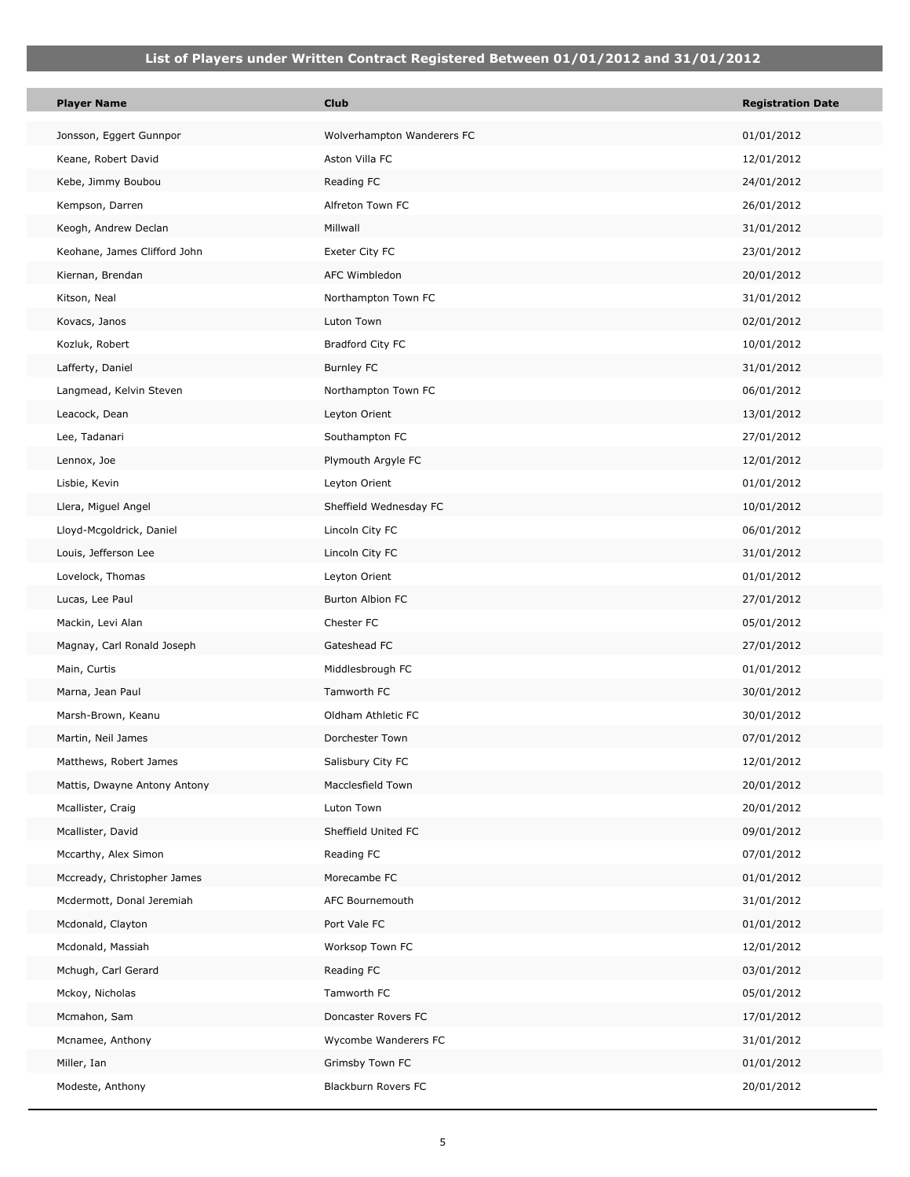| <b>Player Name</b>           | <b>Club</b>                | <b>Registration Date</b> |
|------------------------------|----------------------------|--------------------------|
| Jonsson, Eggert Gunnpor      | Wolverhampton Wanderers FC | 01/01/2012               |
| Keane, Robert David          | Aston Villa FC             | 12/01/2012               |
| Kebe, Jimmy Boubou           | Reading FC                 | 24/01/2012               |
| Kempson, Darren              | Alfreton Town FC           | 26/01/2012               |
| Keogh, Andrew Declan         | Millwall                   | 31/01/2012               |
| Keohane, James Clifford John | Exeter City FC             | 23/01/2012               |
| Kiernan, Brendan             | AFC Wimbledon              | 20/01/2012               |
| Kitson, Neal                 | Northampton Town FC        | 31/01/2012               |
| Kovacs, Janos                | Luton Town                 | 02/01/2012               |
| Kozluk, Robert               | Bradford City FC           | 10/01/2012               |
| Lafferty, Daniel             | <b>Burnley FC</b>          | 31/01/2012               |
| Langmead, Kelvin Steven      | Northampton Town FC        | 06/01/2012               |
| Leacock, Dean                | Leyton Orient              | 13/01/2012               |
| Lee, Tadanari                | Southampton FC             | 27/01/2012               |
| Lennox, Joe                  | Plymouth Argyle FC         | 12/01/2012               |
| Lisbie, Kevin                | Leyton Orient              | 01/01/2012               |
| Llera, Miguel Angel          | Sheffield Wednesday FC     | 10/01/2012               |
| Lloyd-Mcgoldrick, Daniel     | Lincoln City FC            | 06/01/2012               |
| Louis, Jefferson Lee         | Lincoln City FC            | 31/01/2012               |
| Lovelock, Thomas             | Leyton Orient              | 01/01/2012               |
| Lucas, Lee Paul              | Burton Albion FC           | 27/01/2012               |
| Mackin, Levi Alan            | Chester FC                 | 05/01/2012               |
| Magnay, Carl Ronald Joseph   | Gateshead FC               | 27/01/2012               |
| Main, Curtis                 | Middlesbrough FC           | 01/01/2012               |
| Marna, Jean Paul             | Tamworth FC                | 30/01/2012               |
| Marsh-Brown, Keanu           | Oldham Athletic FC         | 30/01/2012               |
| Martin, Neil James           | Dorchester Town            | 07/01/2012               |
| Matthews, Robert James       | Salisbury City FC          | 12/01/2012               |
| Mattis, Dwayne Antony Antony | Macclesfield Town          | 20/01/2012               |
| Mcallister, Craig            | Luton Town                 | 20/01/2012               |
| Mcallister, David            | Sheffield United FC        | 09/01/2012               |
| Mccarthy, Alex Simon         | Reading FC                 | 07/01/2012               |
| Mccready, Christopher James  | Morecambe FC               | 01/01/2012               |
| Mcdermott, Donal Jeremiah    | AFC Bournemouth            | 31/01/2012               |
| Mcdonald, Clayton            | Port Vale FC               | 01/01/2012               |
| Mcdonald, Massiah            | Worksop Town FC            | 12/01/2012               |
| Mchugh, Carl Gerard          | Reading FC                 | 03/01/2012               |
| Mckoy, Nicholas              | Tamworth FC                | 05/01/2012               |
| Mcmahon, Sam                 | Doncaster Rovers FC        | 17/01/2012               |
| Mcnamee, Anthony             | Wycombe Wanderers FC       | 31/01/2012               |
| Miller, Ian                  | Grimsby Town FC            | 01/01/2012               |
| Modeste, Anthony             | Blackburn Rovers FC        | 20/01/2012               |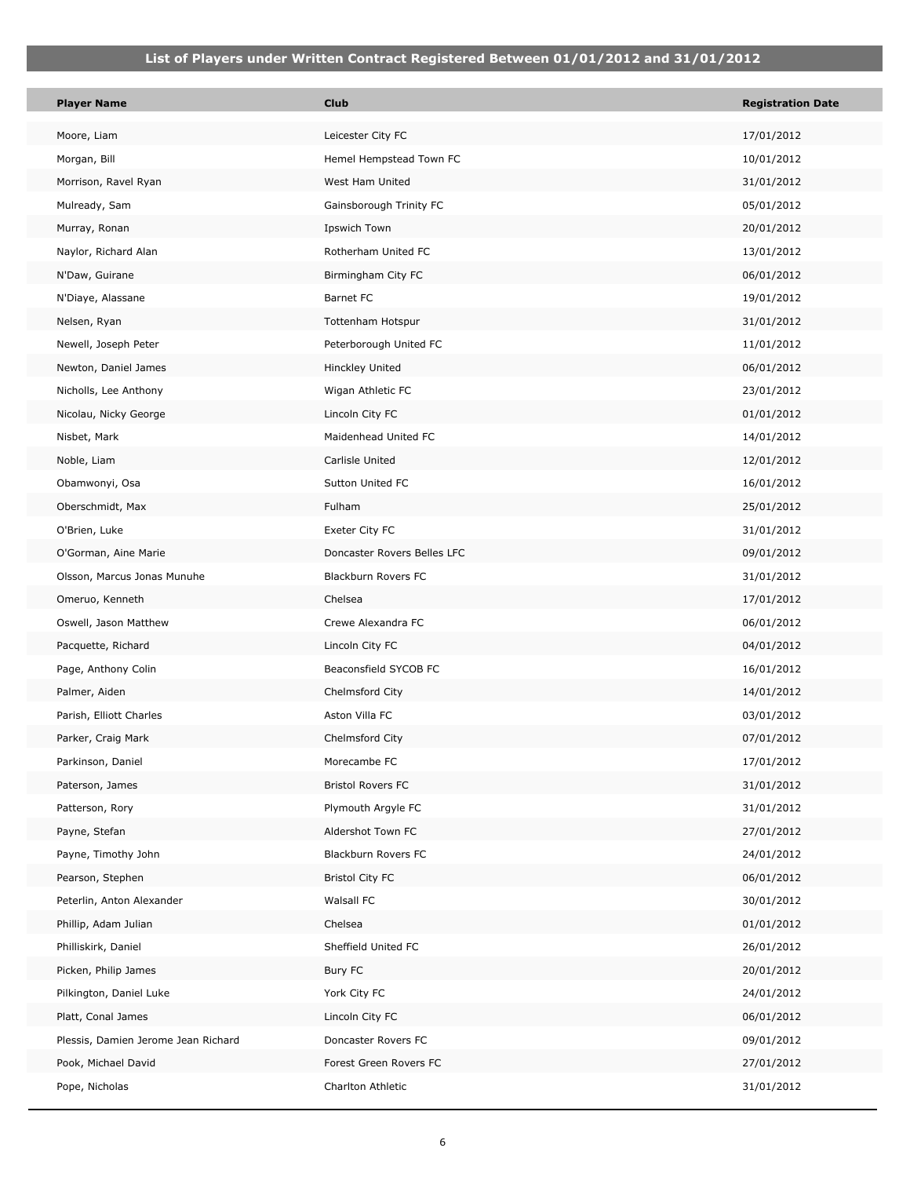| <b>Player Name</b>                  | <b>Club</b>                 | <b>Registration Date</b> |
|-------------------------------------|-----------------------------|--------------------------|
| Moore, Liam                         | Leicester City FC           | 17/01/2012               |
| Morgan, Bill                        | Hemel Hempstead Town FC     | 10/01/2012               |
| Morrison, Ravel Ryan                | West Ham United             | 31/01/2012               |
| Mulready, Sam                       | Gainsborough Trinity FC     | 05/01/2012               |
| Murray, Ronan                       | Ipswich Town                | 20/01/2012               |
| Naylor, Richard Alan                | Rotherham United FC         | 13/01/2012               |
| N'Daw, Guirane                      | Birmingham City FC          | 06/01/2012               |
| N'Diaye, Alassane                   | Barnet FC                   | 19/01/2012               |
| Nelsen, Ryan                        | Tottenham Hotspur           | 31/01/2012               |
| Newell, Joseph Peter                | Peterborough United FC      | 11/01/2012               |
| Newton, Daniel James                | Hinckley United             | 06/01/2012               |
| Nicholls, Lee Anthony               | Wigan Athletic FC           | 23/01/2012               |
| Nicolau, Nicky George               | Lincoln City FC             | 01/01/2012               |
| Nisbet, Mark                        | Maidenhead United FC        | 14/01/2012               |
| Noble, Liam                         | Carlisle United             | 12/01/2012               |
| Obamwonyi, Osa                      | Sutton United FC            | 16/01/2012               |
| Oberschmidt, Max                    | Fulham                      | 25/01/2012               |
| O'Brien, Luke                       | Exeter City FC              | 31/01/2012               |
| O'Gorman, Aine Marie                | Doncaster Rovers Belles LFC | 09/01/2012               |
| Olsson, Marcus Jonas Munuhe         | Blackburn Rovers FC         | 31/01/2012               |
| Omeruo, Kenneth                     | Chelsea                     | 17/01/2012               |
| Oswell, Jason Matthew               | Crewe Alexandra FC          | 06/01/2012               |
| Pacquette, Richard                  | Lincoln City FC             | 04/01/2012               |
| Page, Anthony Colin                 | Beaconsfield SYCOB FC       | 16/01/2012               |
| Palmer, Aiden                       | Chelmsford City             | 14/01/2012               |
| Parish, Elliott Charles             | Aston Villa FC              | 03/01/2012               |
| Parker, Craig Mark                  | Chelmsford City             | 07/01/2012               |
| Parkinson, Daniel                   | Morecambe FC                | 17/01/2012               |
| Paterson, James                     | <b>Bristol Rovers FC</b>    | 31/01/2012               |
| Patterson, Rory                     | Plymouth Argyle FC          | 31/01/2012               |
| Payne, Stefan                       | Aldershot Town FC           | 27/01/2012               |
| Payne, Timothy John                 | Blackburn Rovers FC         | 24/01/2012               |
| Pearson, Stephen                    | <b>Bristol City FC</b>      | 06/01/2012               |
| Peterlin, Anton Alexander           | Walsall FC                  | 30/01/2012               |
| Phillip, Adam Julian                | Chelsea                     | 01/01/2012               |
| Philliskirk, Daniel                 | Sheffield United FC         | 26/01/2012               |
| Picken, Philip James                | Bury FC                     | 20/01/2012               |
| Pilkington, Daniel Luke             | York City FC                | 24/01/2012               |
| Platt, Conal James                  | Lincoln City FC             | 06/01/2012               |
| Plessis, Damien Jerome Jean Richard | Doncaster Rovers FC         | 09/01/2012               |
| Pook, Michael David                 | Forest Green Rovers FC      | 27/01/2012               |
| Pope, Nicholas                      | Charlton Athletic           | 31/01/2012               |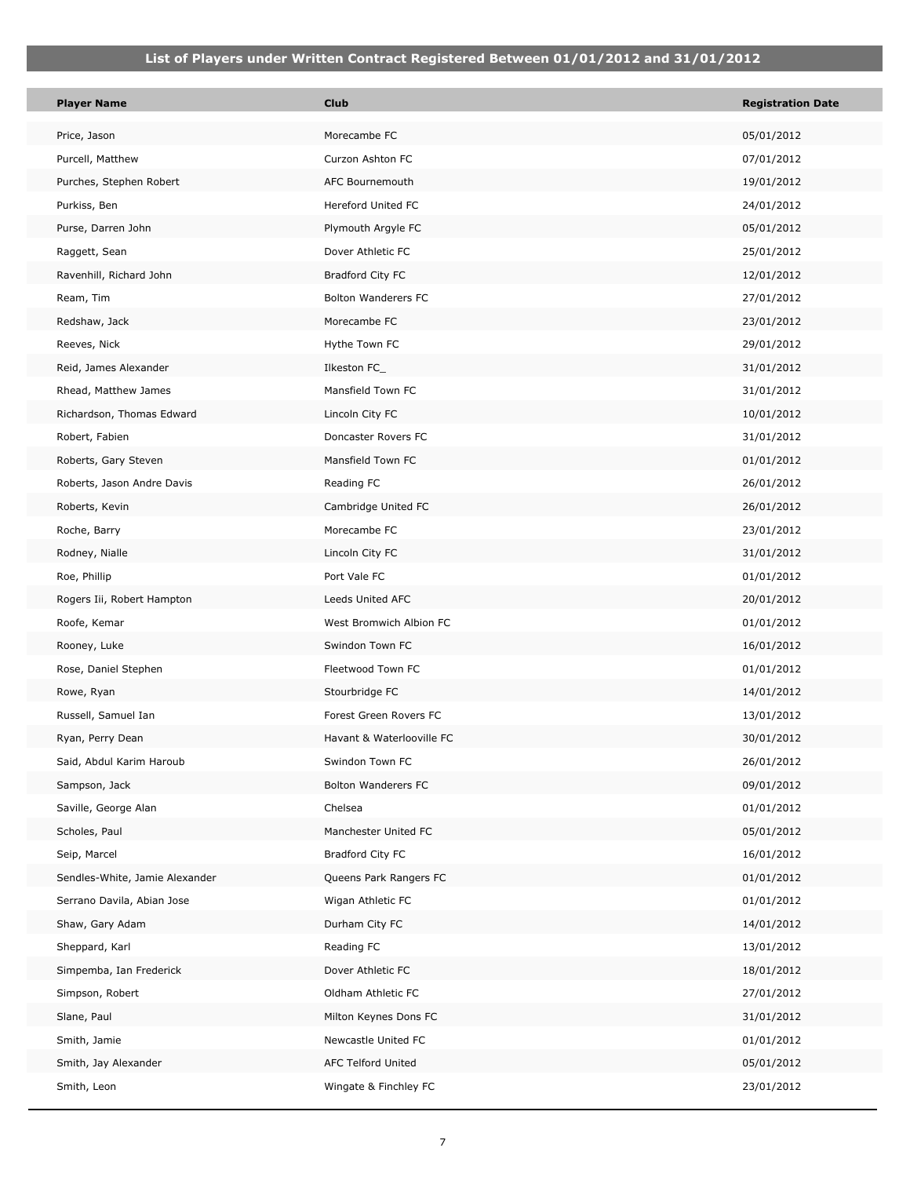| <b>Player Name</b>             | <b>Club</b>                | <b>Registration Date</b> |
|--------------------------------|----------------------------|--------------------------|
| Price, Jason                   | Morecambe FC               | 05/01/2012               |
| Purcell, Matthew               | Curzon Ashton FC           | 07/01/2012               |
| Purches, Stephen Robert        | AFC Bournemouth            | 19/01/2012               |
| Purkiss, Ben                   | <b>Hereford United FC</b>  | 24/01/2012               |
| Purse, Darren John             | Plymouth Argyle FC         | 05/01/2012               |
| Raggett, Sean                  | Dover Athletic FC          | 25/01/2012               |
| Ravenhill, Richard John        | Bradford City FC           | 12/01/2012               |
| Ream, Tim                      | <b>Bolton Wanderers FC</b> | 27/01/2012               |
| Redshaw, Jack                  | Morecambe FC               | 23/01/2012               |
| Reeves, Nick                   | Hythe Town FC              | 29/01/2012               |
| Reid, James Alexander          | Ilkeston FC_               | 31/01/2012               |
| Rhead, Matthew James           | Mansfield Town FC          | 31/01/2012               |
| Richardson, Thomas Edward      | Lincoln City FC            | 10/01/2012               |
| Robert, Fabien                 | Doncaster Rovers FC        | 31/01/2012               |
| Roberts, Gary Steven           | Mansfield Town FC          | 01/01/2012               |
| Roberts, Jason Andre Davis     | Reading FC                 | 26/01/2012               |
| Roberts, Kevin                 | Cambridge United FC        | 26/01/2012               |
| Roche, Barry                   | Morecambe FC               | 23/01/2012               |
| Rodney, Nialle                 | Lincoln City FC            | 31/01/2012               |
| Roe, Phillip                   | Port Vale FC               | 01/01/2012               |
| Rogers Iii, Robert Hampton     | Leeds United AFC           | 20/01/2012               |
| Roofe, Kemar                   | West Bromwich Albion FC    | 01/01/2012               |
| Rooney, Luke                   | Swindon Town FC            | 16/01/2012               |
| Rose, Daniel Stephen           | Fleetwood Town FC          | 01/01/2012               |
| Rowe, Ryan                     | Stourbridge FC             | 14/01/2012               |
| Russell, Samuel Ian            | Forest Green Rovers FC     | 13/01/2012               |
| Ryan, Perry Dean               | Havant & Waterlooville FC  | 30/01/2012               |
| Said, Abdul Karim Haroub       | Swindon Town FC            | 26/01/2012               |
| Sampson, Jack                  | <b>Bolton Wanderers FC</b> | 09/01/2012               |
| Saville, George Alan           | Chelsea                    | 01/01/2012               |
| Scholes, Paul                  | Manchester United FC       | 05/01/2012               |
| Seip, Marcel                   | Bradford City FC           | 16/01/2012               |
| Sendles-White, Jamie Alexander | Queens Park Rangers FC     | 01/01/2012               |
| Serrano Davila, Abian Jose     | Wigan Athletic FC          | 01/01/2012               |
| Shaw, Gary Adam                | Durham City FC             | 14/01/2012               |
| Sheppard, Karl                 | Reading FC                 | 13/01/2012               |
| Simpemba, Ian Frederick        | Dover Athletic FC          | 18/01/2012               |
| Simpson, Robert                | Oldham Athletic FC         | 27/01/2012               |
| Slane, Paul                    | Milton Keynes Dons FC      | 31/01/2012               |
| Smith, Jamie                   | Newcastle United FC        | 01/01/2012               |
| Smith, Jay Alexander           | <b>AFC Telford United</b>  | 05/01/2012               |
| Smith, Leon                    | Wingate & Finchley FC      | 23/01/2012               |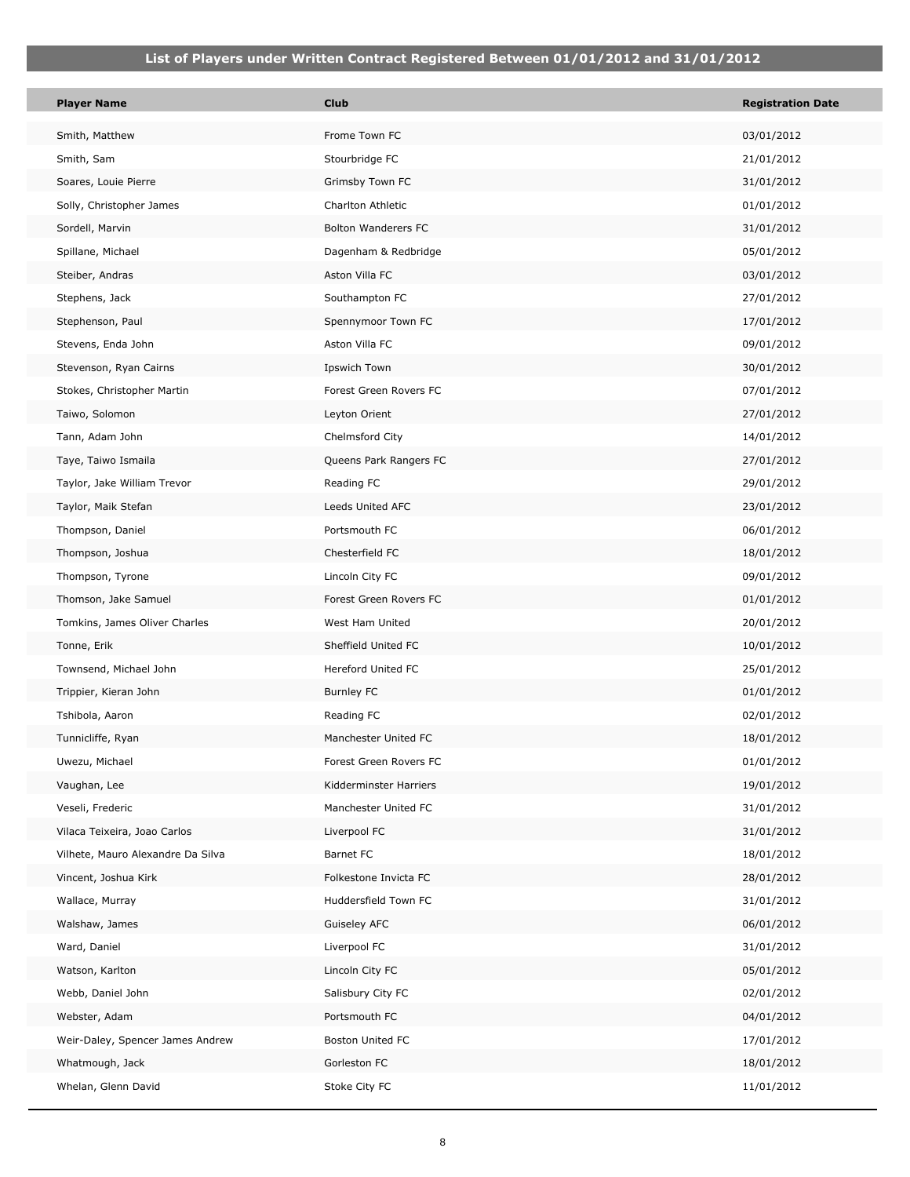П

| <b>Player Name</b>                | <b>Club</b>            | <b>Registration Date</b> |
|-----------------------------------|------------------------|--------------------------|
| Smith, Matthew                    | Frome Town FC          | 03/01/2012               |
| Smith, Sam                        | Stourbridge FC         | 21/01/2012               |
| Soares, Louie Pierre              | Grimsby Town FC        | 31/01/2012               |
| Solly, Christopher James          | Charlton Athletic      | 01/01/2012               |
| Sordell, Marvin                   | Bolton Wanderers FC    | 31/01/2012               |
| Spillane, Michael                 | Dagenham & Redbridge   | 05/01/2012               |
| Steiber, Andras                   | Aston Villa FC         | 03/01/2012               |
| Stephens, Jack                    | Southampton FC         | 27/01/2012               |
| Stephenson, Paul                  | Spennymoor Town FC     | 17/01/2012               |
| Stevens, Enda John                | Aston Villa FC         | 09/01/2012               |
| Stevenson, Ryan Cairns            | Ipswich Town           | 30/01/2012               |
| Stokes, Christopher Martin        | Forest Green Rovers FC | 07/01/2012               |
| Taiwo, Solomon                    | Leyton Orient          | 27/01/2012               |
| Tann, Adam John                   | Chelmsford City        | 14/01/2012               |
| Taye, Taiwo Ismaila               | Queens Park Rangers FC | 27/01/2012               |
| Taylor, Jake William Trevor       | Reading FC             | 29/01/2012               |
| Taylor, Maik Stefan               | Leeds United AFC       | 23/01/2012               |
| Thompson, Daniel                  | Portsmouth FC          | 06/01/2012               |
| Thompson, Joshua                  | Chesterfield FC        | 18/01/2012               |
| Thompson, Tyrone                  | Lincoln City FC        | 09/01/2012               |
| Thomson, Jake Samuel              | Forest Green Rovers FC | 01/01/2012               |
| Tomkins, James Oliver Charles     | West Ham United        | 20/01/2012               |
| Tonne, Erik                       | Sheffield United FC    | 10/01/2012               |
| Townsend, Michael John            | Hereford United FC     | 25/01/2012               |
| Trippier, Kieran John             | <b>Burnley FC</b>      | 01/01/2012               |
| Tshibola, Aaron                   | Reading FC             | 02/01/2012               |
| Tunnicliffe, Ryan                 | Manchester United FC   | 18/01/2012               |
| Uwezu, Michael                    | Forest Green Rovers FC | 01/01/2012               |
| Vaughan, Lee                      | Kidderminster Harriers | 19/01/2012               |
| Veseli, Frederic                  | Manchester United FC   | 31/01/2012               |
| Vilaca Teixeira, Joao Carlos      | Liverpool FC           | 31/01/2012               |
| Vilhete, Mauro Alexandre Da Silva | Barnet FC              | 18/01/2012               |
| Vincent, Joshua Kirk              | Folkestone Invicta FC  | 28/01/2012               |
| Wallace, Murray                   | Huddersfield Town FC   | 31/01/2012               |
| Walshaw, James                    | Guiseley AFC           | 06/01/2012               |
| Ward, Daniel                      | Liverpool FC           | 31/01/2012               |
| Watson, Karlton                   | Lincoln City FC        | 05/01/2012               |
| Webb, Daniel John                 | Salisbury City FC      | 02/01/2012               |
| Webster, Adam                     | Portsmouth FC          | 04/01/2012               |
| Weir-Daley, Spencer James Andrew  | Boston United FC       | 17/01/2012               |
| Whatmough, Jack                   | Gorleston FC           | 18/01/2012               |
| Whelan, Glenn David               | Stoke City FC          | 11/01/2012               |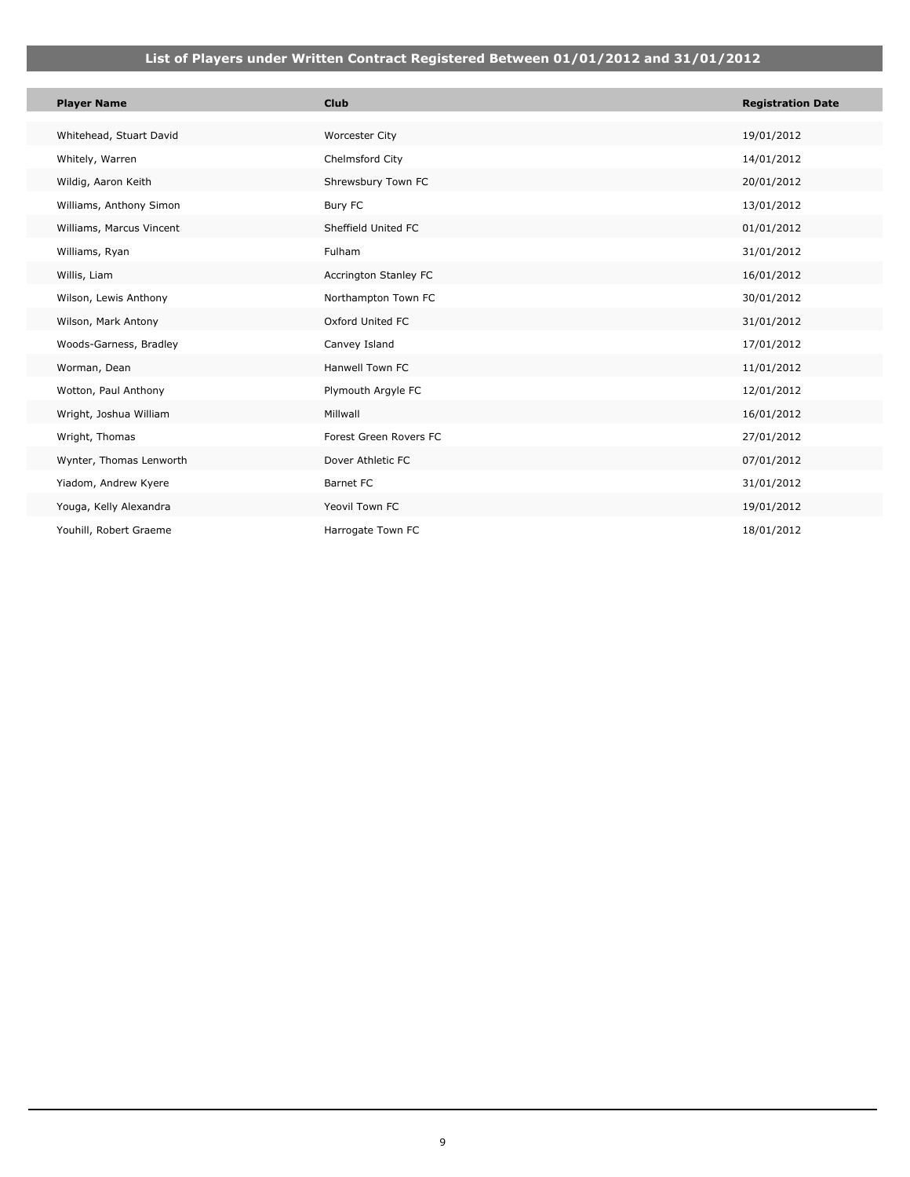| <b>Player Name</b>       | <b>Club</b>            | <b>Registration Date</b> |
|--------------------------|------------------------|--------------------------|
| Whitehead, Stuart David  | <b>Worcester City</b>  | 19/01/2012               |
| Whitely, Warren          | Chelmsford City        | 14/01/2012               |
|                          |                        |                          |
| Wildig, Aaron Keith      | Shrewsbury Town FC     | 20/01/2012               |
| Williams, Anthony Simon  | Bury FC                | 13/01/2012               |
| Williams, Marcus Vincent | Sheffield United FC    | 01/01/2012               |
| Williams, Ryan           | Fulham                 | 31/01/2012               |
| Willis, Liam             | Accrington Stanley FC  | 16/01/2012               |
| Wilson, Lewis Anthony    | Northampton Town FC    | 30/01/2012               |
| Wilson, Mark Antony      | Oxford United FC       | 31/01/2012               |
| Woods-Garness, Bradley   | Canvey Island          | 17/01/2012               |
| Worman, Dean             | Hanwell Town FC        | 11/01/2012               |
| Wotton, Paul Anthony     | Plymouth Argyle FC     | 12/01/2012               |
| Wright, Joshua William   | Millwall               | 16/01/2012               |
| Wright, Thomas           | Forest Green Rovers FC | 27/01/2012               |
| Wynter, Thomas Lenworth  | Dover Athletic FC      | 07/01/2012               |
| Yiadom, Andrew Kyere     | Barnet FC              | 31/01/2012               |
| Youga, Kelly Alexandra   | Yeovil Town FC         | 19/01/2012               |
| Youhill, Robert Graeme   | Harrogate Town FC      | 18/01/2012               |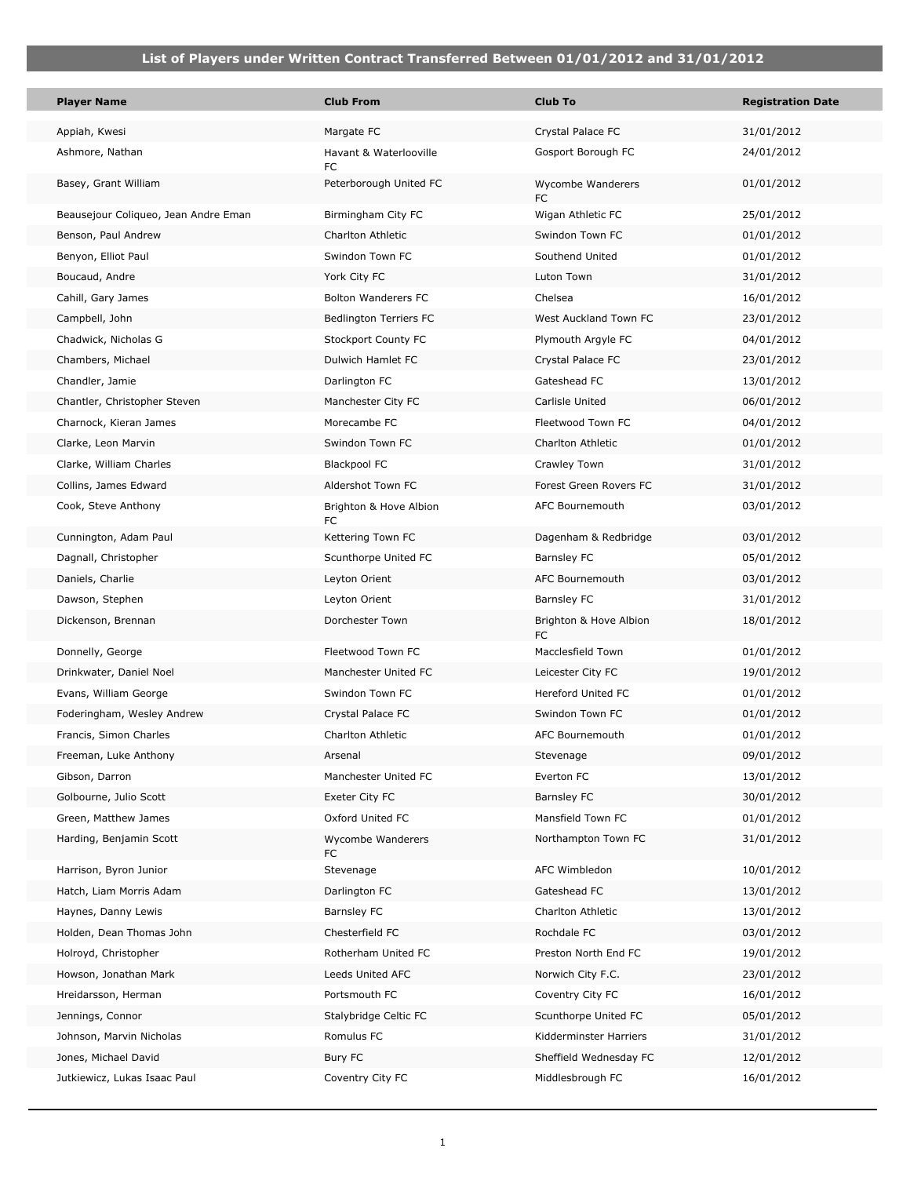| <b>Player Name</b>                   | <b>Club From</b>              | <b>Club To</b>                      | <b>Registration Date</b> |
|--------------------------------------|-------------------------------|-------------------------------------|--------------------------|
| Appiah, Kwesi                        | Margate FC                    | Crystal Palace FC                   | 31/01/2012               |
| Ashmore, Nathan                      | Havant & Waterlooville<br>FC  | Gosport Borough FC                  | 24/01/2012               |
| Basey, Grant William                 | Peterborough United FC        | Wycombe Wanderers<br>FC.            | 01/01/2012               |
| Beausejour Coliqueo, Jean Andre Eman | Birmingham City FC            | Wigan Athletic FC                   | 25/01/2012               |
| Benson, Paul Andrew                  | Charlton Athletic             | Swindon Town FC                     | 01/01/2012               |
| Benyon, Elliot Paul                  | Swindon Town FC               | Southend United                     | 01/01/2012               |
| Boucaud, Andre                       | York City FC                  | Luton Town                          | 31/01/2012               |
| Cahill, Gary James                   | <b>Bolton Wanderers FC</b>    | Chelsea                             | 16/01/2012               |
| Campbell, John                       | <b>Bedlington Terriers FC</b> | West Auckland Town FC               | 23/01/2012               |
| Chadwick, Nicholas G                 | Stockport County FC           | Plymouth Argyle FC                  | 04/01/2012               |
| Chambers, Michael                    | Dulwich Hamlet FC             | Crystal Palace FC                   | 23/01/2012               |
| Chandler, Jamie                      | Darlington FC                 | Gateshead FC                        | 13/01/2012               |
| Chantler, Christopher Steven         | Manchester City FC            | Carlisle United                     | 06/01/2012               |
| Charnock, Kieran James               | Morecambe FC                  | Fleetwood Town FC                   | 04/01/2012               |
| Clarke, Leon Marvin                  | Swindon Town FC               | Charlton Athletic                   | 01/01/2012               |
| Clarke, William Charles              | <b>Blackpool FC</b>           | Crawley Town                        | 31/01/2012               |
| Collins, James Edward                | Aldershot Town FC             | Forest Green Rovers FC              | 31/01/2012               |
| Cook, Steve Anthony                  | Brighton & Hove Albion<br>FC  | AFC Bournemouth                     | 03/01/2012               |
| Cunnington, Adam Paul                | Kettering Town FC             | Dagenham & Redbridge                | 03/01/2012               |
| Dagnall, Christopher                 | Scunthorpe United FC          | <b>Barnsley FC</b>                  | 05/01/2012               |
| Daniels, Charlie                     | Leyton Orient                 | AFC Bournemouth                     | 03/01/2012               |
| Dawson, Stephen                      | Leyton Orient                 | Barnsley FC                         | 31/01/2012               |
| Dickenson, Brennan                   | Dorchester Town               | Brighton & Hove Albion<br><b>FC</b> | 18/01/2012               |
| Donnelly, George                     | Fleetwood Town FC             | Macclesfield Town                   | 01/01/2012               |
| Drinkwater, Daniel Noel              | Manchester United FC          | Leicester City FC                   | 19/01/2012               |
| Evans, William George                | Swindon Town FC               | Hereford United FC                  | 01/01/2012               |
| Foderingham, Wesley Andrew           | Crystal Palace FC             | Swindon Town FC                     | 01/01/2012               |
| Francis, Simon Charles               | Charlton Athletic             | <b>AFC Bournemouth</b>              | 01/01/2012               |
| Freeman, Luke Anthony                | Arsenal                       | Stevenage                           | 09/01/2012               |
| Gibson, Darron                       | Manchester United FC          | Everton FC                          | 13/01/2012               |
| Golbourne, Julio Scott               | Exeter City FC                | Barnsley FC                         | 30/01/2012               |
| Green, Matthew James                 | Oxford United FC              | Mansfield Town FC                   | 01/01/2012               |
| Harding, Benjamin Scott              | Wycombe Wanderers<br>FC       | Northampton Town FC                 | 31/01/2012               |
| Harrison, Byron Junior               | Stevenage                     | AFC Wimbledon                       | 10/01/2012               |
| Hatch, Liam Morris Adam              | Darlington FC                 | Gateshead FC                        | 13/01/2012               |
| Haynes, Danny Lewis                  | Barnsley FC                   | Charlton Athletic                   | 13/01/2012               |
| Holden, Dean Thomas John             | Chesterfield FC               | Rochdale FC                         | 03/01/2012               |
| Holroyd, Christopher                 | Rotherham United FC           | Preston North End FC                | 19/01/2012               |
| Howson, Jonathan Mark                | Leeds United AFC              | Norwich City F.C.                   | 23/01/2012               |
| Hreidarsson, Herman                  | Portsmouth FC                 | Coventry City FC                    | 16/01/2012               |
| Jennings, Connor                     | Stalybridge Celtic FC         | Scunthorpe United FC                | 05/01/2012               |
| Johnson, Marvin Nicholas             | Romulus FC                    | Kidderminster Harriers              | 31/01/2012               |
| Jones, Michael David                 | Bury FC                       | Sheffield Wednesday FC              | 12/01/2012               |
| Jutkiewicz, Lukas Isaac Paul         | Coventry City FC              | Middlesbrough FC                    | 16/01/2012               |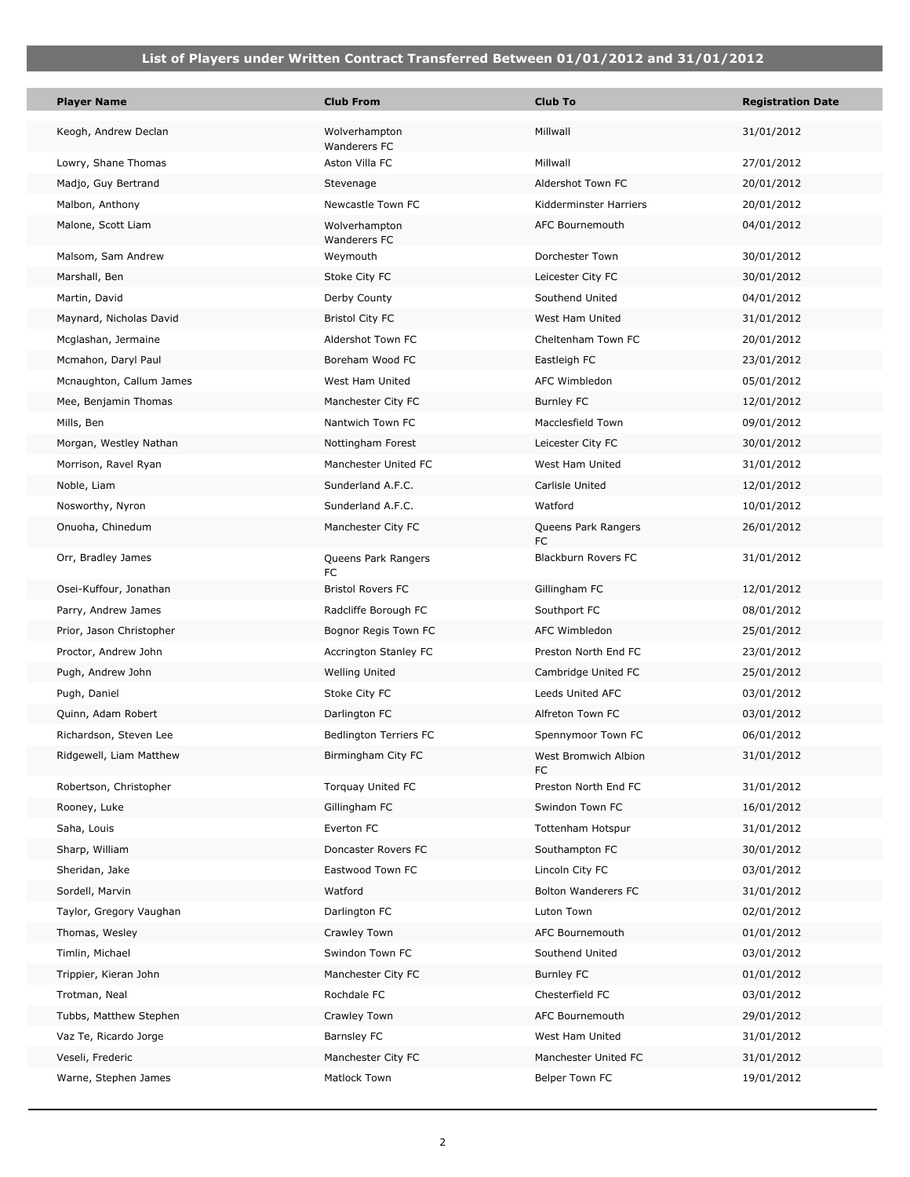| <b>Player Name</b>       | <b>Club From</b>                     | <b>Club To</b>                   | <b>Registration Date</b> |
|--------------------------|--------------------------------------|----------------------------------|--------------------------|
| Keogh, Andrew Declan     | Wolverhampton<br>Wanderers FC        | Millwall                         | 31/01/2012               |
| Lowry, Shane Thomas      | Aston Villa FC                       | Millwall                         | 27/01/2012               |
| Madjo, Guy Bertrand      | Stevenage                            | Aldershot Town FC                | 20/01/2012               |
| Malbon, Anthony          | Newcastle Town FC                    | Kidderminster Harriers           | 20/01/2012               |
| Malone, Scott Liam       | Wolverhampton<br><b>Wanderers FC</b> | AFC Bournemouth                  | 04/01/2012               |
| Malsom, Sam Andrew       | Weymouth                             | Dorchester Town                  | 30/01/2012               |
| Marshall, Ben            | Stoke City FC                        | Leicester City FC                | 30/01/2012               |
| Martin, David            | Derby County                         | Southend United                  | 04/01/2012               |
| Maynard, Nicholas David  | <b>Bristol City FC</b>               | West Ham United                  | 31/01/2012               |
| Mcglashan, Jermaine      | Aldershot Town FC                    | Cheltenham Town FC               | 20/01/2012               |
| Mcmahon, Daryl Paul      | Boreham Wood FC                      | Eastleigh FC                     | 23/01/2012               |
| Mcnaughton, Callum James | West Ham United                      | AFC Wimbledon                    | 05/01/2012               |
| Mee, Benjamin Thomas     | Manchester City FC                   | <b>Burnley FC</b>                | 12/01/2012               |
| Mills, Ben               | Nantwich Town FC                     | Macclesfield Town                | 09/01/2012               |
| Morgan, Westley Nathan   | Nottingham Forest                    | Leicester City FC                | 30/01/2012               |
| Morrison, Ravel Ryan     | Manchester United FC                 | West Ham United                  | 31/01/2012               |
| Noble, Liam              | Sunderland A.F.C.                    | Carlisle United                  | 12/01/2012               |
| Nosworthy, Nyron         | Sunderland A.F.C.                    | Watford                          | 10/01/2012               |
| Onuoha, Chinedum         | Manchester City FC                   | Queens Park Rangers<br><b>FC</b> | 26/01/2012               |
| Orr, Bradley James       | Queens Park Rangers<br>FC            | Blackburn Rovers FC              | 31/01/2012               |
| Osei-Kuffour, Jonathan   | <b>Bristol Rovers FC</b>             | Gillingham FC                    | 12/01/2012               |
| Parry, Andrew James      | Radcliffe Borough FC                 | Southport FC                     | 08/01/2012               |
| Prior, Jason Christopher | Bognor Regis Town FC                 | <b>AFC Wimbledon</b>             | 25/01/2012               |
| Proctor, Andrew John     | Accrington Stanley FC                | Preston North End FC             | 23/01/2012               |
| Pugh, Andrew John        | Welling United                       | Cambridge United FC              | 25/01/2012               |
| Pugh, Daniel             | Stoke City FC                        | Leeds United AFC                 | 03/01/2012               |
| Quinn, Adam Robert       | Darlington FC                        | Alfreton Town FC                 | 03/01/2012               |
| Richardson, Steven Lee   | <b>Bedlington Terriers FC</b>        | Spennymoor Town FC               | 06/01/2012               |
| Ridgewell, Liam Matthew  | Birmingham City FC                   | West Bromwich Albion<br>FC       | 31/01/2012               |
| Robertson, Christopher   | Torquay United FC                    | Preston North End FC             | 31/01/2012               |
| Rooney, Luke             | Gillingham FC                        | Swindon Town FC                  | 16/01/2012               |
| Saha, Louis              | Everton FC                           | Tottenham Hotspur                | 31/01/2012               |
| Sharp, William           | Doncaster Rovers FC                  | Southampton FC                   | 30/01/2012               |
| Sheridan, Jake           | Eastwood Town FC                     | Lincoln City FC                  | 03/01/2012               |
| Sordell, Marvin          | Watford                              | Bolton Wanderers FC              | 31/01/2012               |
| Taylor, Gregory Vaughan  | Darlington FC                        | Luton Town                       | 02/01/2012               |
| Thomas, Wesley           | Crawley Town                         | AFC Bournemouth                  | 01/01/2012               |
| Timlin, Michael          | Swindon Town FC                      | Southend United                  | 03/01/2012               |
| Trippier, Kieran John    | Manchester City FC                   | <b>Burnley FC</b>                | 01/01/2012               |
| Trotman, Neal            | Rochdale FC                          | Chesterfield FC                  | 03/01/2012               |
| Tubbs, Matthew Stephen   | Crawley Town                         | AFC Bournemouth                  | 29/01/2012               |
| Vaz Te, Ricardo Jorge    | Barnsley FC                          | West Ham United                  | 31/01/2012               |
| Veseli, Frederic         | Manchester City FC                   | Manchester United FC             | 31/01/2012               |
| Warne, Stephen James     | Matlock Town                         | Belper Town FC                   | 19/01/2012               |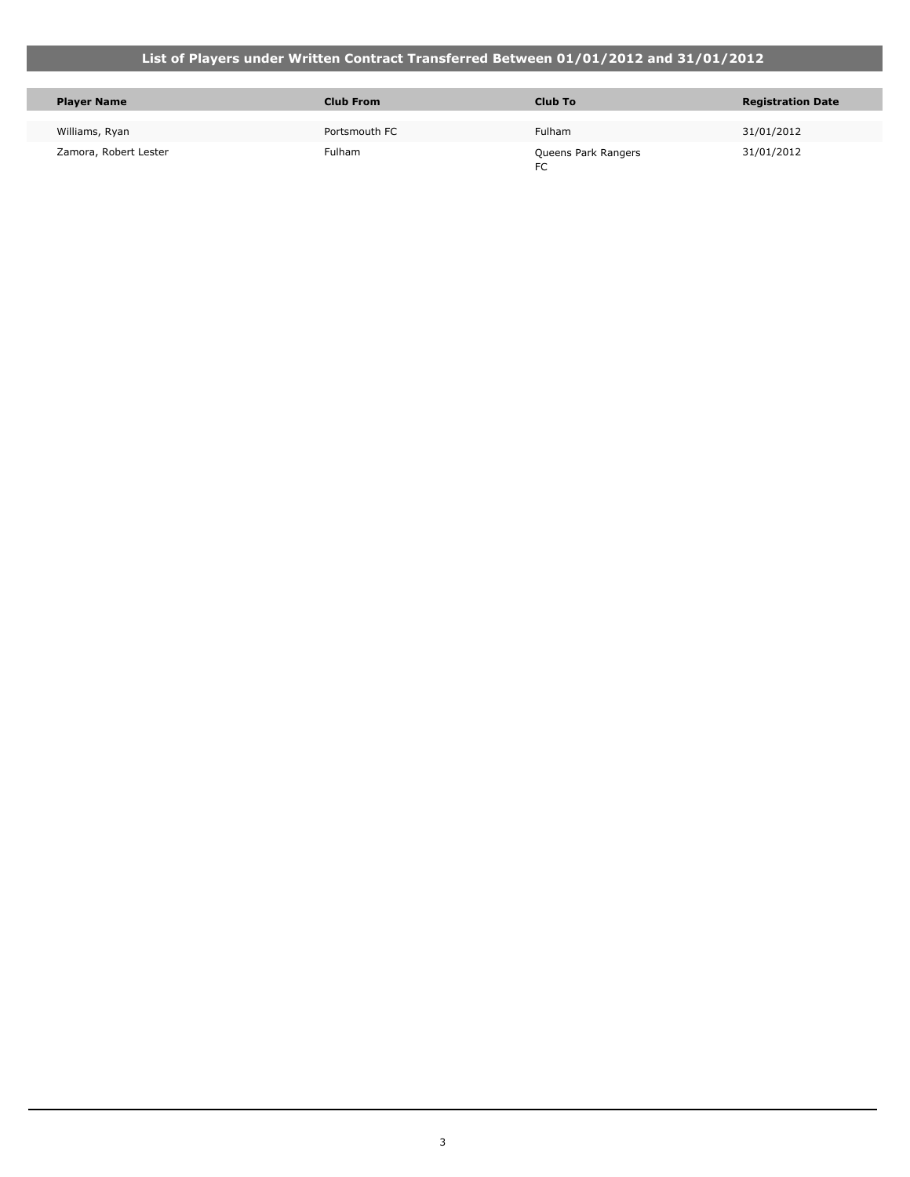T.

| <b>Player Name</b>    | <b>Club From</b> | Club To                   | <b>Registration Date</b> |
|-----------------------|------------------|---------------------------|--------------------------|
| Williams, Ryan        | Portsmouth FC    | <b>Fulham</b>             | 31/01/2012               |
| Zamora, Robert Lester | Fulham           | Queens Park Rangers<br>FC | 31/01/2012               |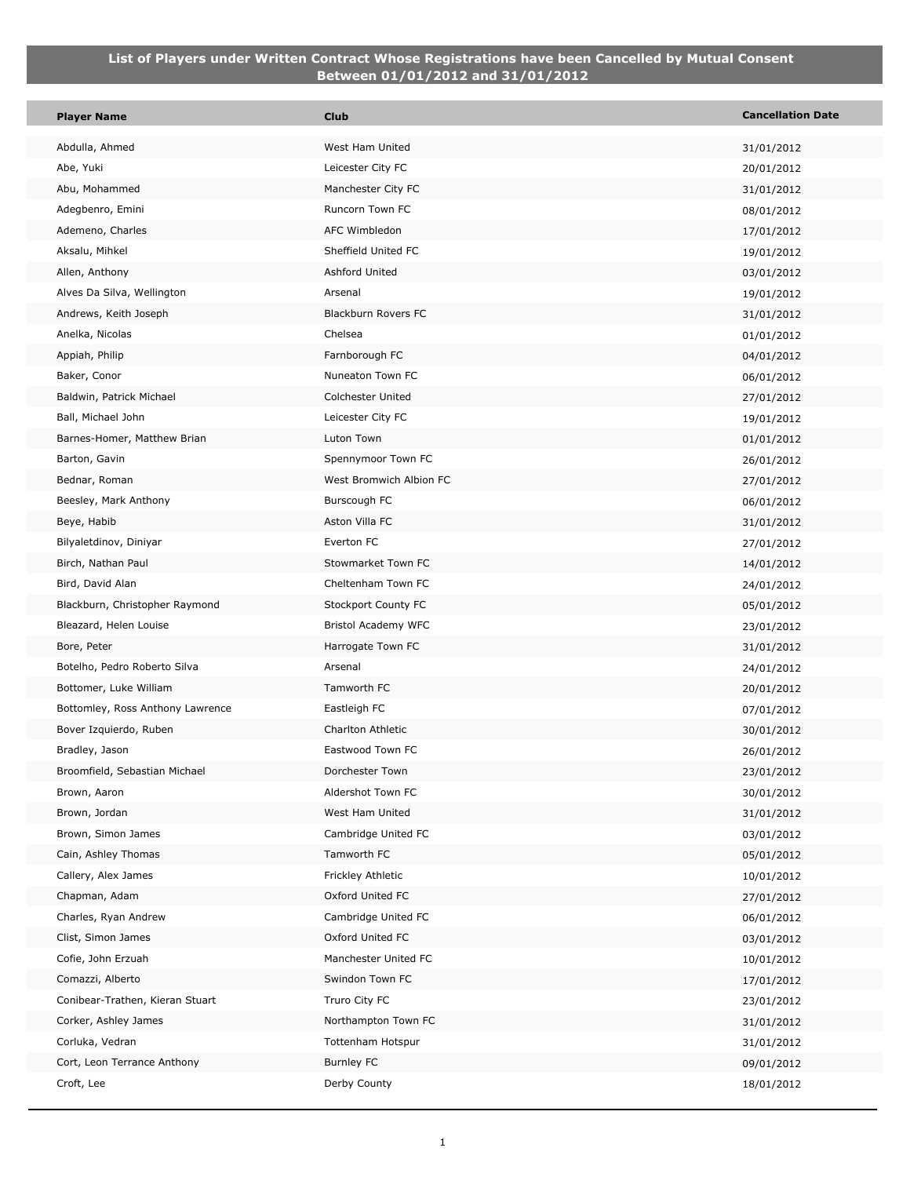| <b>Player Name</b>                   | <b>Club</b>                           | <b>Cancellation Date</b> |
|--------------------------------------|---------------------------------------|--------------------------|
| Abdulla, Ahmed                       | West Ham United                       | 31/01/2012               |
| Abe, Yuki                            | Leicester City FC                     | 20/01/2012               |
| Abu, Mohammed                        | Manchester City FC                    | 31/01/2012               |
| Adegbenro, Emini                     | Runcorn Town FC                       | 08/01/2012               |
| Ademeno, Charles                     | AFC Wimbledon                         | 17/01/2012               |
| Aksalu, Mihkel                       | Sheffield United FC                   | 19/01/2012               |
| Allen, Anthony                       | Ashford United                        | 03/01/2012               |
| Alves Da Silva, Wellington           | Arsenal                               | 19/01/2012               |
| Andrews, Keith Joseph                | Blackburn Rovers FC                   | 31/01/2012               |
| Anelka, Nicolas                      | Chelsea                               | 01/01/2012               |
| Appiah, Philip                       | Farnborough FC                        | 04/01/2012               |
| Baker, Conor                         | Nuneaton Town FC                      | 06/01/2012               |
| Baldwin, Patrick Michael             | Colchester United                     | 27/01/2012               |
| Ball, Michael John                   | Leicester City FC                     | 19/01/2012               |
| Barnes-Homer, Matthew Brian          | Luton Town                            | 01/01/2012               |
| Barton, Gavin                        | Spennymoor Town FC                    | 26/01/2012               |
| Bednar, Roman                        | West Bromwich Albion FC               | 27/01/2012               |
| Beesley, Mark Anthony                | Burscough FC                          | 06/01/2012               |
| Beye, Habib                          | Aston Villa FC                        | 31/01/2012               |
| Bilyaletdinov, Diniyar               | Everton FC                            | 27/01/2012               |
| Birch, Nathan Paul                   | Stowmarket Town FC                    | 14/01/2012               |
| Bird, David Alan                     | Cheltenham Town FC                    | 24/01/2012               |
| Blackburn, Christopher Raymond       | Stockport County FC                   | 05/01/2012               |
| Bleazard, Helen Louise               | Bristol Academy WFC                   | 23/01/2012               |
| Bore, Peter                          | Harrogate Town FC                     | 31/01/2012               |
| Botelho, Pedro Roberto Silva         | Arsenal                               | 24/01/2012               |
| Bottomer, Luke William               | Tamworth FC                           | 20/01/2012               |
| Bottomley, Ross Anthony Lawrence     | Eastleigh FC                          | 07/01/2012               |
| Bover Izquierdo, Ruben               | Charlton Athletic                     | 30/01/2012               |
| Bradley, Jason                       | Eastwood Town FC                      | 26/01/2012               |
| Broomfield, Sebastian Michael        | Dorchester Town                       | 23/01/2012               |
| Brown, Aaron                         | Aldershot Town FC                     | 30/01/2012               |
| Brown, Jordan                        | West Ham United                       | 31/01/2012               |
| Brown, Simon James                   | Cambridge United FC                   | 03/01/2012               |
| Cain, Ashley Thomas                  | Tamworth FC                           | 05/01/2012               |
| Callery, Alex James<br>Chapman, Adam | Frickley Athletic<br>Oxford United FC | 10/01/2012               |
| Charles, Ryan Andrew                 | Cambridge United FC                   | 27/01/2012               |
| Clist, Simon James                   | Oxford United FC                      | 06/01/2012               |
| Cofie, John Erzuah                   | Manchester United FC                  | 03/01/2012<br>10/01/2012 |
| Comazzi, Alberto                     | Swindon Town FC                       | 17/01/2012               |
| Conibear-Trathen, Kieran Stuart      | Truro City FC                         |                          |
| Corker, Ashley James                 | Northampton Town FC                   | 23/01/2012<br>31/01/2012 |
| Corluka, Vedran                      | Tottenham Hotspur                     | 31/01/2012               |
| Cort, Leon Terrance Anthony          | Burnley FC                            | 09/01/2012               |
| Croft, Lee                           | Derby County                          | 18/01/2012               |
|                                      |                                       |                          |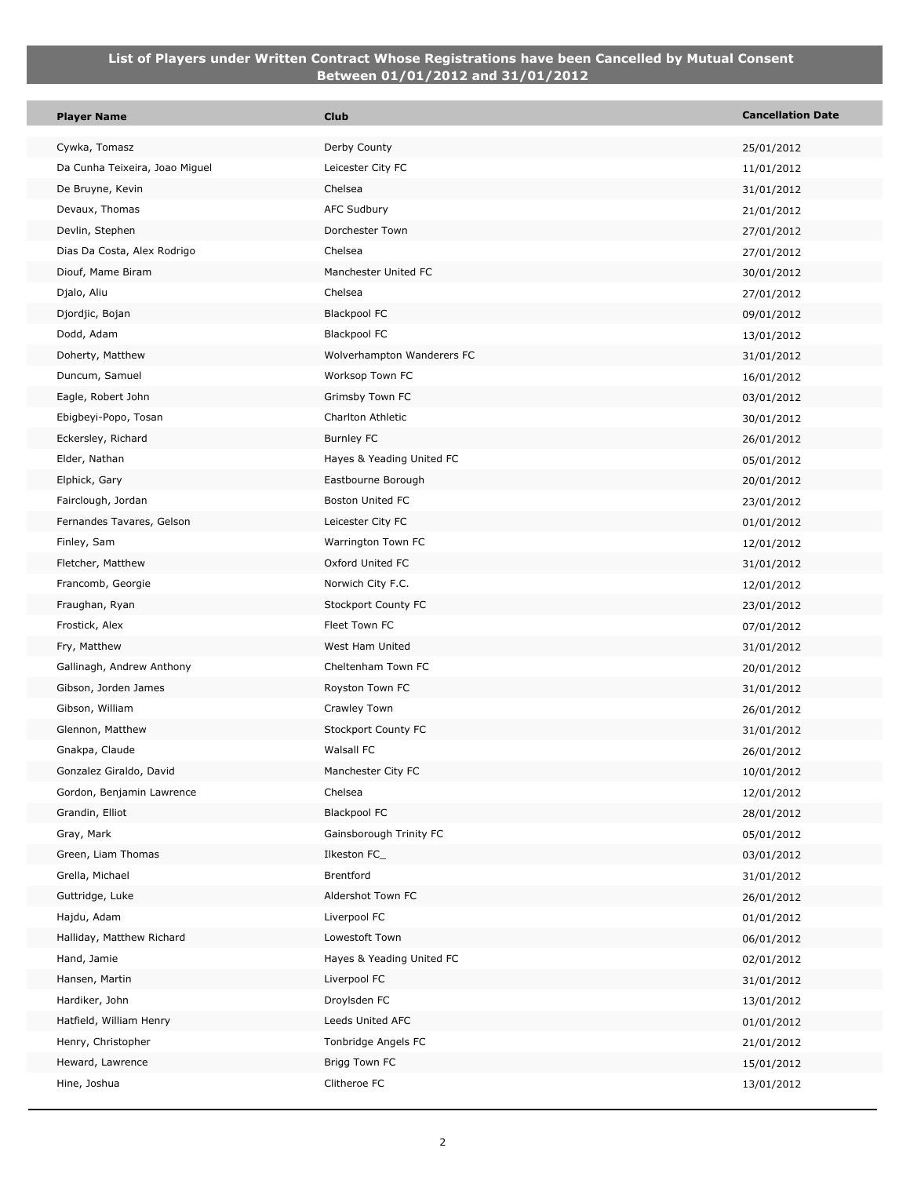| <b>Player Name</b>                        | <b>Club</b>                          | <b>Cancellation Date</b> |
|-------------------------------------------|--------------------------------------|--------------------------|
| Cywka, Tomasz                             | Derby County                         | 25/01/2012               |
| Da Cunha Teixeira, Joao Miguel            | Leicester City FC                    | 11/01/2012               |
| De Bruyne, Kevin                          | Chelsea                              | 31/01/2012               |
| Devaux, Thomas                            | AFC Sudbury                          | 21/01/2012               |
| Devlin, Stephen                           | Dorchester Town                      | 27/01/2012               |
| Dias Da Costa, Alex Rodrigo               | Chelsea                              | 27/01/2012               |
| Diouf, Mame Biram                         | Manchester United FC                 | 30/01/2012               |
| Djalo, Aliu                               | Chelsea                              | 27/01/2012               |
| Djordjic, Bojan                           | <b>Blackpool FC</b>                  | 09/01/2012               |
| Dodd, Adam                                | <b>Blackpool FC</b>                  | 13/01/2012               |
| Doherty, Matthew                          | Wolverhampton Wanderers FC           | 31/01/2012               |
| Duncum, Samuel                            | Worksop Town FC                      | 16/01/2012               |
| Eagle, Robert John                        | Grimsby Town FC                      | 03/01/2012               |
| Ebigbeyi-Popo, Tosan                      | Charlton Athletic                    | 30/01/2012               |
| Eckersley, Richard                        | Burnley FC                           | 26/01/2012               |
| Elder, Nathan                             | Hayes & Yeading United FC            | 05/01/2012               |
| Elphick, Gary                             | Eastbourne Borough                   | 20/01/2012               |
| Fairclough, Jordan                        | <b>Boston United FC</b>              | 23/01/2012               |
| Fernandes Tavares, Gelson                 | Leicester City FC                    | 01/01/2012               |
| Finley, Sam                               | Warrington Town FC                   | 12/01/2012               |
| Fletcher, Matthew                         | Oxford United FC                     | 31/01/2012               |
| Francomb, Georgie                         | Norwich City F.C.                    | 12/01/2012               |
| Fraughan, Ryan                            | Stockport County FC                  | 23/01/2012               |
| Frostick, Alex                            | Fleet Town FC                        | 07/01/2012               |
| Fry, Matthew                              | West Ham United                      | 31/01/2012               |
| Gallinagh, Andrew Anthony                 | Cheltenham Town FC                   | 20/01/2012               |
| Gibson, Jorden James                      | Royston Town FC                      | 31/01/2012               |
| Gibson, William                           | Crawley Town                         | 26/01/2012               |
| Glennon, Matthew                          | Stockport County FC                  | 31/01/2012               |
| Gnakpa, Claude                            | Walsall FC                           | 26/01/2012               |
| Gonzalez Giraldo, David                   | Manchester City FC                   | 10/01/2012               |
| Gordon, Benjamin Lawrence                 | Chelsea                              | 12/01/2012               |
| Grandin, Elliot                           | <b>Blackpool FC</b>                  | 28/01/2012               |
| Gray, Mark                                | Gainsborough Trinity FC              | 05/01/2012               |
| Green, Liam Thomas                        | Ilkeston FC_                         | 03/01/2012               |
| Grella, Michael                           | Brentford                            | 31/01/2012               |
| Guttridge, Luke                           | Aldershot Town FC                    | 26/01/2012               |
| Hajdu, Adam                               | Liverpool FC                         | 01/01/2012               |
| Halliday, Matthew Richard                 | Lowestoft Town                       | 06/01/2012               |
| Hand, Jamie                               | Hayes & Yeading United FC            | 02/01/2012               |
| Hansen, Martin                            | Liverpool FC                         | 31/01/2012               |
| Hardiker, John<br>Hatfield, William Henry | Droylsden FC<br>Leeds United AFC     | 13/01/2012               |
|                                           |                                      | 01/01/2012               |
| Henry, Christopher<br>Heward, Lawrence    | Tonbridge Angels FC<br>Brigg Town FC | 21/01/2012               |
|                                           | Clitheroe FC                         | 15/01/2012               |
| Hine, Joshua                              |                                      | 13/01/2012               |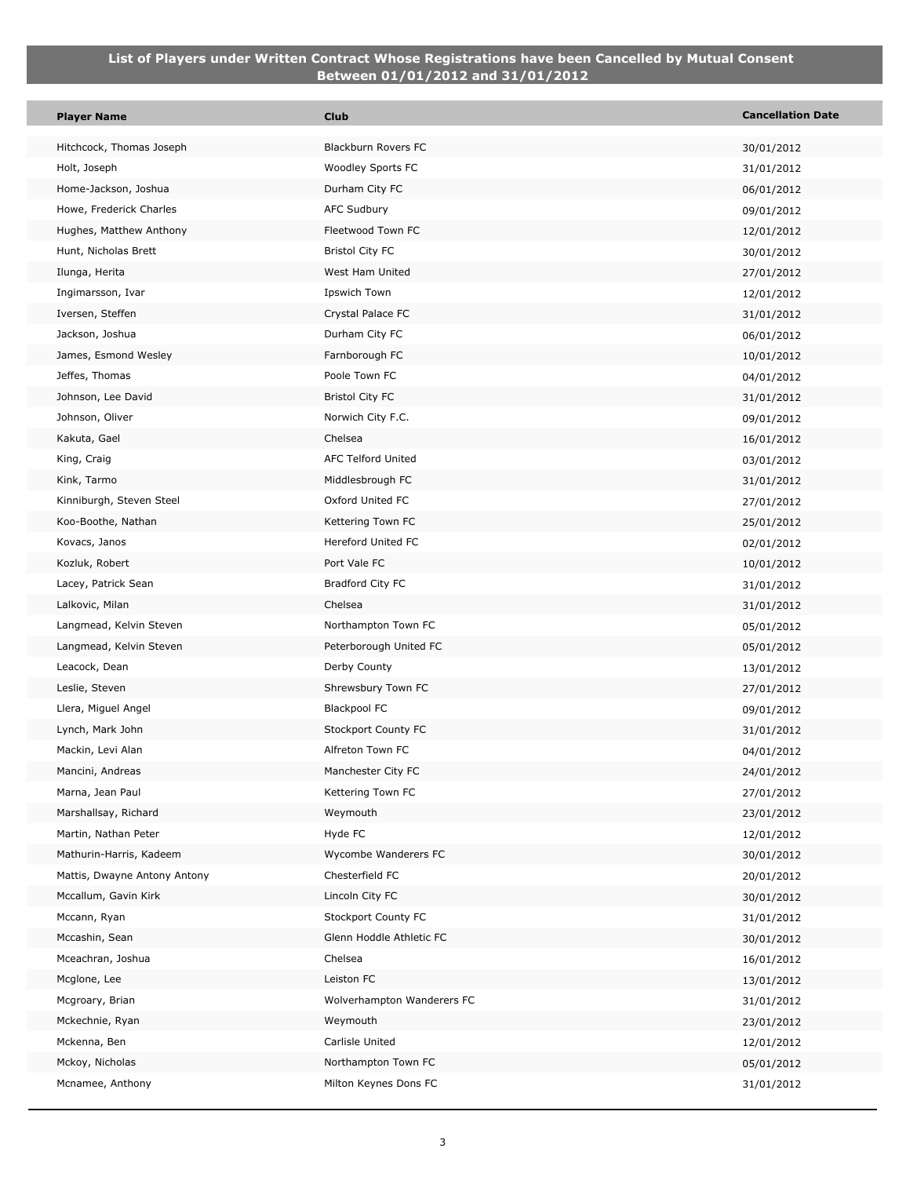p.

| <b>Player Name</b>                                      | <b>Club</b>                             | <b>Cancellation Date</b> |
|---------------------------------------------------------|-----------------------------------------|--------------------------|
| Hitchcock, Thomas Joseph                                | Blackburn Rovers FC                     | 30/01/2012               |
| Holt, Joseph                                            | Woodley Sports FC                       | 31/01/2012               |
| Home-Jackson, Joshua                                    | Durham City FC                          | 06/01/2012               |
| Howe, Frederick Charles                                 | <b>AFC Sudbury</b>                      | 09/01/2012               |
| Hughes, Matthew Anthony                                 | Fleetwood Town FC                       | 12/01/2012               |
| Hunt, Nicholas Brett                                    | <b>Bristol City FC</b>                  | 30/01/2012               |
| Ilunga, Herita                                          | West Ham United                         | 27/01/2012               |
| Ingimarsson, Ivar                                       | Ipswich Town                            | 12/01/2012               |
| Iversen, Steffen                                        | Crystal Palace FC                       | 31/01/2012               |
| Jackson, Joshua                                         | Durham City FC                          | 06/01/2012               |
| James, Esmond Wesley                                    | Farnborough FC                          | 10/01/2012               |
| Jeffes, Thomas                                          | Poole Town FC                           | 04/01/2012               |
| Johnson, Lee David                                      | <b>Bristol City FC</b>                  | 31/01/2012               |
| Johnson, Oliver                                         | Norwich City F.C.                       | 09/01/2012               |
| Kakuta, Gael                                            | Chelsea                                 | 16/01/2012               |
| King, Craig                                             | AFC Telford United                      | 03/01/2012               |
| Kink, Tarmo                                             | Middlesbrough FC                        | 31/01/2012               |
| Kinniburgh, Steven Steel                                | Oxford United FC                        | 27/01/2012               |
| Koo-Boothe, Nathan                                      | Kettering Town FC                       | 25/01/2012               |
| Kovacs, Janos                                           | Hereford United FC                      | 02/01/2012               |
| Kozluk, Robert                                          | Port Vale FC                            | 10/01/2012               |
| Lacey, Patrick Sean                                     | Bradford City FC                        | 31/01/2012               |
| Lalkovic, Milan                                         | Chelsea                                 | 31/01/2012               |
| Langmead, Kelvin Steven                                 | Northampton Town FC                     | 05/01/2012               |
| Langmead, Kelvin Steven                                 | Peterborough United FC                  | 05/01/2012               |
| Leacock, Dean                                           | Derby County                            | 13/01/2012               |
| Leslie, Steven                                          | Shrewsbury Town FC                      | 27/01/2012               |
| Llera, Miguel Angel                                     | <b>Blackpool FC</b>                     | 09/01/2012               |
| Lynch, Mark John                                        | <b>Stockport County FC</b>              | 31/01/2012               |
| Mackin, Levi Alan                                       | Alfreton Town FC                        | 04/01/2012               |
| Mancini, Andreas                                        | Manchester City FC                      | 24/01/2012               |
| Marna, Jean Paul                                        | Kettering Town FC                       | 27/01/2012               |
| Marshallsay, Richard                                    | Weymouth                                | 23/01/2012               |
| Martin, Nathan Peter                                    | Hyde FC                                 | 12/01/2012               |
| Mathurin-Harris, Kadeem<br>Mattis, Dwayne Antony Antony | Wycombe Wanderers FC<br>Chesterfield FC | 30/01/2012               |
| Mccallum, Gavin Kirk                                    | Lincoln City FC                         | 20/01/2012               |
| Mccann, Ryan                                            | Stockport County FC                     | 30/01/2012               |
| Mccashin, Sean                                          | Glenn Hoddle Athletic FC                | 31/01/2012<br>30/01/2012 |
| Mceachran, Joshua                                       | Chelsea                                 | 16/01/2012               |
| Mcglone, Lee                                            | Leiston FC                              | 13/01/2012               |
| Mcgroary, Brian                                         | Wolverhampton Wanderers FC              | 31/01/2012               |
| Mckechnie, Ryan                                         | Weymouth                                | 23/01/2012               |
| Mckenna, Ben                                            | Carlisle United                         | 12/01/2012               |
| Mckoy, Nicholas                                         | Northampton Town FC                     | 05/01/2012               |
| Mcnamee, Anthony                                        | Milton Keynes Dons FC                   | 31/01/2012               |
|                                                         |                                         |                          |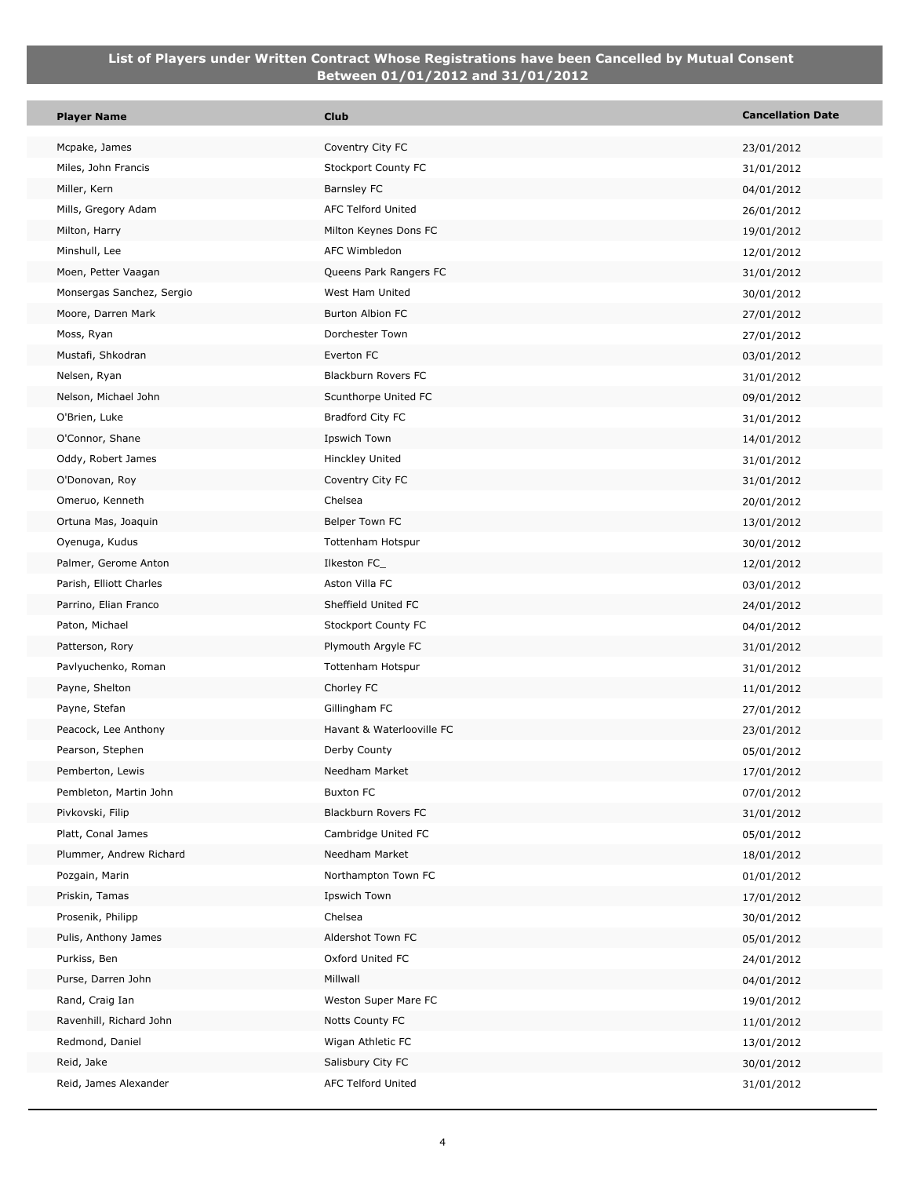| <b>Player Name</b>                     | <b>Club</b>                        | <b>Cancellation Date</b> |
|----------------------------------------|------------------------------------|--------------------------|
| Mcpake, James                          | Coventry City FC                   | 23/01/2012               |
| Miles, John Francis                    | <b>Stockport County FC</b>         | 31/01/2012               |
| Miller, Kern                           | Barnsley FC                        | 04/01/2012               |
| Mills, Gregory Adam                    | AFC Telford United                 | 26/01/2012               |
| Milton, Harry                          | Milton Keynes Dons FC              | 19/01/2012               |
| Minshull, Lee                          | AFC Wimbledon                      | 12/01/2012               |
| Moen, Petter Vaagan                    | Queens Park Rangers FC             | 31/01/2012               |
| Monsergas Sanchez, Sergio              | West Ham United                    | 30/01/2012               |
| Moore, Darren Mark                     | Burton Albion FC                   | 27/01/2012               |
| Moss, Ryan                             | Dorchester Town                    | 27/01/2012               |
| Mustafi, Shkodran                      | Everton FC                         | 03/01/2012               |
| Nelsen, Ryan                           | Blackburn Rovers FC                | 31/01/2012               |
| Nelson, Michael John                   | Scunthorpe United FC               | 09/01/2012               |
| O'Brien, Luke                          | Bradford City FC                   | 31/01/2012               |
| O'Connor, Shane                        | Ipswich Town                       | 14/01/2012               |
| Oddy, Robert James                     | Hinckley United                    | 31/01/2012               |
| O'Donovan, Roy                         | Coventry City FC                   | 31/01/2012               |
| Omeruo, Kenneth                        | Chelsea                            | 20/01/2012               |
| Ortuna Mas, Joaquin                    | Belper Town FC                     | 13/01/2012               |
| Oyenuga, Kudus                         | Tottenham Hotspur                  | 30/01/2012               |
| Palmer, Gerome Anton                   | Ilkeston FC_                       | 12/01/2012               |
| Parish, Elliott Charles                | Aston Villa FC                     | 03/01/2012               |
| Parrino, Elian Franco                  | Sheffield United FC                | 24/01/2012               |
| Paton, Michael                         | Stockport County FC                | 04/01/2012               |
| Patterson, Rory                        | Plymouth Argyle FC                 | 31/01/2012               |
| Pavlyuchenko, Roman                    | Tottenham Hotspur                  | 31/01/2012               |
| Payne, Shelton                         | Chorley FC                         | 11/01/2012               |
| Payne, Stefan                          | Gillingham FC                      | 27/01/2012               |
| Peacock, Lee Anthony                   | Havant & Waterlooville FC          | 23/01/2012               |
| Pearson, Stephen                       | Derby County                       | 05/01/2012               |
| Pemberton, Lewis                       | Needham Market<br><b>Buxton FC</b> | 17/01/2012               |
| Pembleton, Martin John                 | Blackburn Rovers FC                | 07/01/2012               |
| Pivkovski, Filip<br>Platt, Conal James | Cambridge United FC                | 31/01/2012<br>05/01/2012 |
| Plummer, Andrew Richard                | Needham Market                     | 18/01/2012               |
| Pozgain, Marin                         | Northampton Town FC                | 01/01/2012               |
| Priskin, Tamas                         | Ipswich Town                       | 17/01/2012               |
| Prosenik, Philipp                      | Chelsea                            | 30/01/2012               |
| Pulis, Anthony James                   | Aldershot Town FC                  | 05/01/2012               |
| Purkiss, Ben                           | Oxford United FC                   | 24/01/2012               |
| Purse, Darren John                     | Millwall                           | 04/01/2012               |
| Rand, Craig Ian                        | Weston Super Mare FC               | 19/01/2012               |
| Ravenhill, Richard John                | Notts County FC                    | 11/01/2012               |
| Redmond, Daniel                        | Wigan Athletic FC                  | 13/01/2012               |
| Reid, Jake                             | Salisbury City FC                  | 30/01/2012               |
| Reid, James Alexander                  | <b>AFC Telford United</b>          | 31/01/2012               |
|                                        |                                    |                          |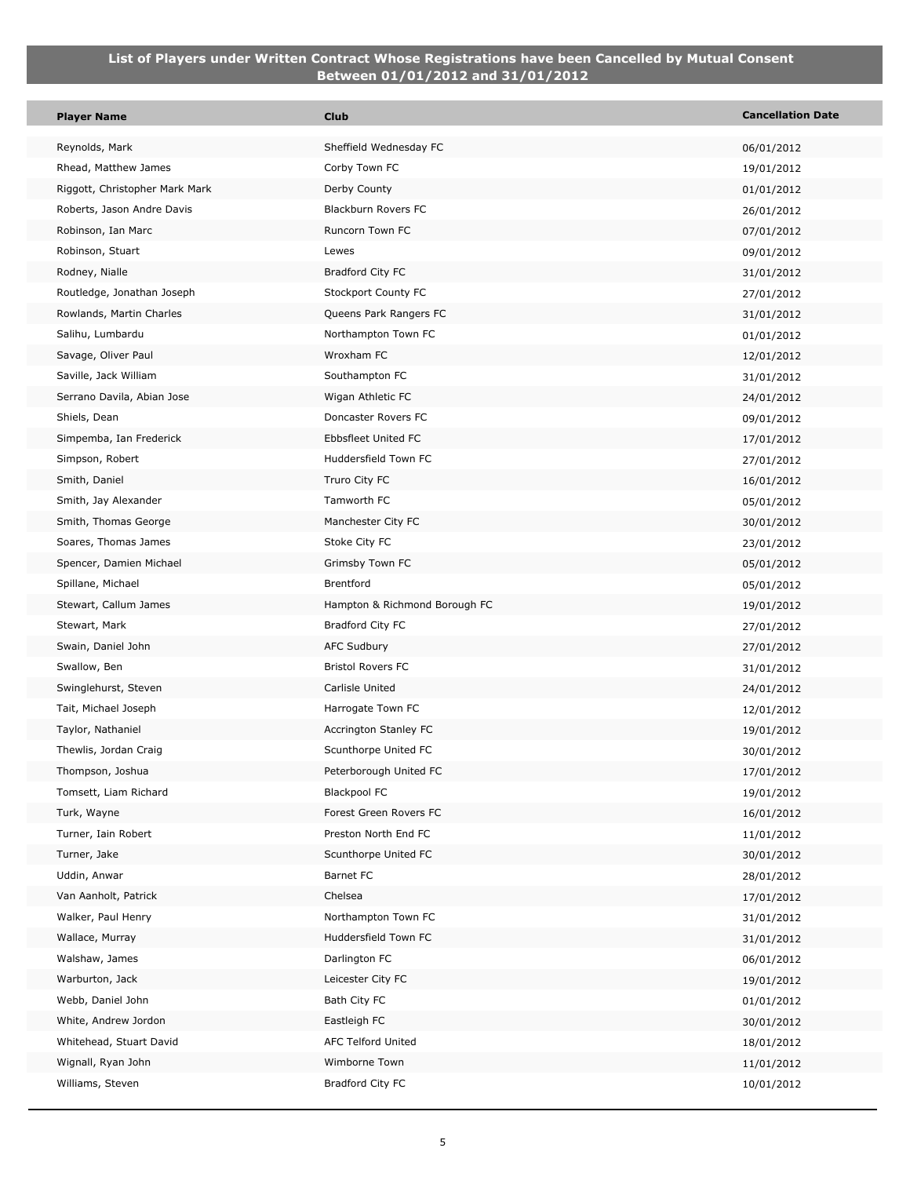p.

| <b>Player Name</b>                   | <b>Club</b>                                 | <b>Cancellation Date</b> |
|--------------------------------------|---------------------------------------------|--------------------------|
| Reynolds, Mark                       | Sheffield Wednesday FC                      | 06/01/2012               |
| Rhead, Matthew James                 | Corby Town FC                               | 19/01/2012               |
| Riggott, Christopher Mark Mark       | Derby County                                | 01/01/2012               |
| Roberts, Jason Andre Davis           | Blackburn Rovers FC                         | 26/01/2012               |
| Robinson, Ian Marc                   | Runcorn Town FC                             | 07/01/2012               |
| Robinson, Stuart                     | Lewes                                       | 09/01/2012               |
| Rodney, Nialle                       | Bradford City FC                            | 31/01/2012               |
| Routledge, Jonathan Joseph           | Stockport County FC                         | 27/01/2012               |
| Rowlands, Martin Charles             | Queens Park Rangers FC                      | 31/01/2012               |
| Salihu, Lumbardu                     | Northampton Town FC                         | 01/01/2012               |
| Savage, Oliver Paul                  | Wroxham FC                                  | 12/01/2012               |
| Saville, Jack William                | Southampton FC                              | 31/01/2012               |
| Serrano Davila, Abian Jose           | Wigan Athletic FC                           | 24/01/2012               |
| Shiels, Dean                         | Doncaster Rovers FC                         | 09/01/2012               |
| Simpemba, Ian Frederick              | Ebbsfleet United FC                         | 17/01/2012               |
| Simpson, Robert                      | Huddersfield Town FC                        | 27/01/2012               |
| Smith, Daniel                        | Truro City FC                               | 16/01/2012               |
| Smith, Jay Alexander                 | Tamworth FC                                 | 05/01/2012               |
| Smith, Thomas George                 | Manchester City FC                          | 30/01/2012               |
| Soares, Thomas James                 | Stoke City FC                               | 23/01/2012               |
| Spencer, Damien Michael              | Grimsby Town FC                             | 05/01/2012               |
| Spillane, Michael                    | <b>Brentford</b>                            | 05/01/2012               |
| Stewart, Callum James                | Hampton & Richmond Borough FC               | 19/01/2012               |
| Stewart, Mark                        | Bradford City FC                            | 27/01/2012               |
| Swain, Daniel John                   | <b>AFC Sudbury</b>                          | 27/01/2012               |
| Swallow, Ben                         | <b>Bristol Rovers FC</b>                    | 31/01/2012               |
| Swinglehurst, Steven                 | Carlisle United                             | 24/01/2012               |
| Tait, Michael Joseph                 | Harrogate Town FC                           | 12/01/2012               |
| Taylor, Nathaniel                    | Accrington Stanley FC                       | 19/01/2012               |
| Thewlis, Jordan Craig                | Scunthorpe United FC                        | 30/01/2012               |
| Thompson, Joshua                     | Peterborough United FC                      | 17/01/2012               |
| Tomsett, Liam Richard                | Blackpool FC                                | 19/01/2012               |
| Turk, Wayne                          | Forest Green Rovers FC                      | 16/01/2012               |
| Turner, Iain Robert                  | Preston North End FC                        | 11/01/2012               |
| Turner, Jake                         | Scunthorpe United FC                        | 30/01/2012               |
| Uddin, Anwar                         | Barnet FC                                   | 28/01/2012               |
| Van Aanholt, Patrick                 | Chelsea                                     | 17/01/2012               |
| Walker, Paul Henry                   | Northampton Town FC<br>Huddersfield Town FC | 31/01/2012               |
| Wallace, Murray                      | Darlington FC                               | 31/01/2012               |
| Walshaw, James                       |                                             | 06/01/2012               |
| Warburton, Jack<br>Webb, Daniel John | Leicester City FC<br>Bath City FC           | 19/01/2012               |
| White, Andrew Jordon                 | Eastleigh FC                                | 01/01/2012               |
| Whitehead, Stuart David              | AFC Telford United                          | 30/01/2012               |
| Wignall, Ryan John                   | Wimborne Town                               | 18/01/2012               |
| Williams, Steven                     | Bradford City FC                            | 11/01/2012<br>10/01/2012 |
|                                      |                                             |                          |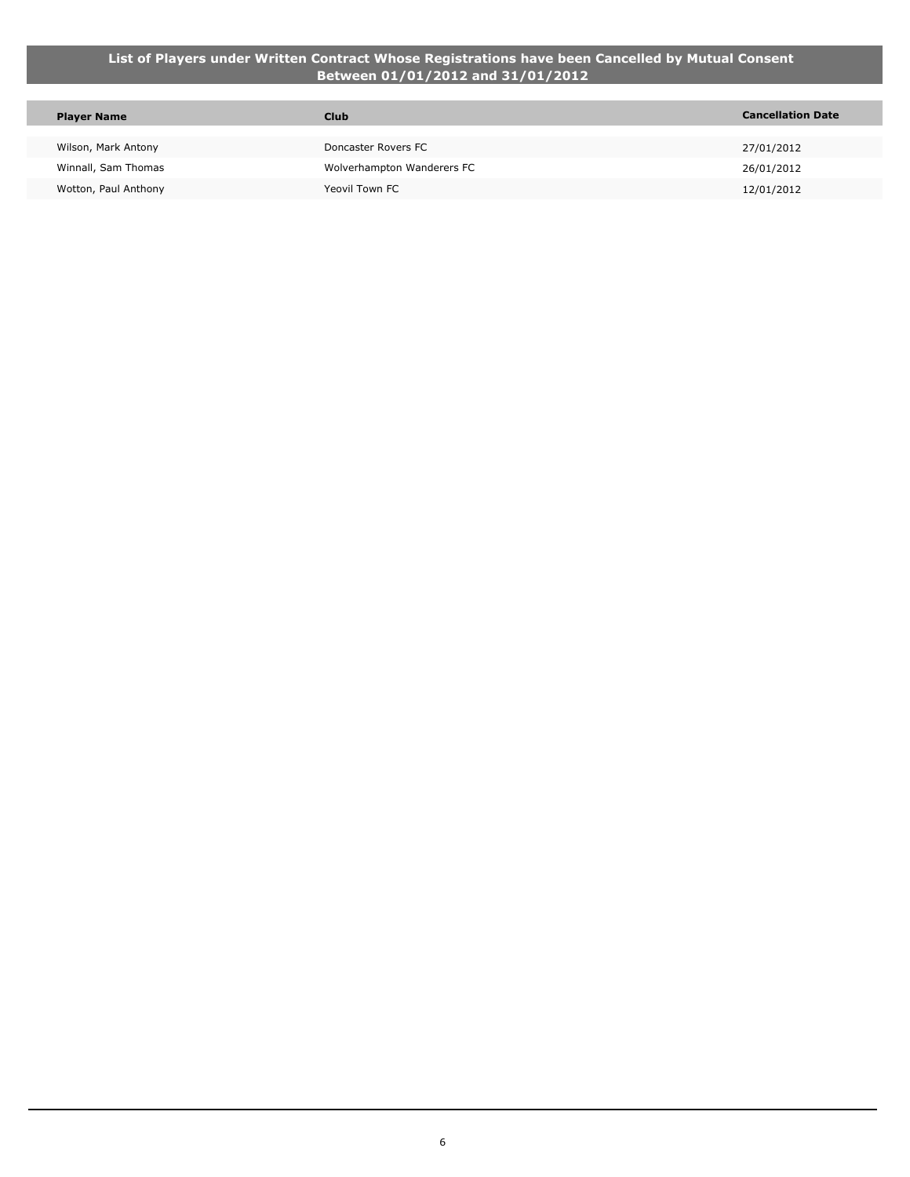| <b>Player Name</b>   | <b>Club</b>                | <b>Cancellation Date</b> |
|----------------------|----------------------------|--------------------------|
|                      |                            |                          |
| Wilson, Mark Antony  | Doncaster Rovers FC        | 27/01/2012               |
| Winnall, Sam Thomas  | Wolverhampton Wanderers FC | 26/01/2012               |
| Wotton, Paul Anthony | Yeovil Town FC             | 12/01/2012               |
|                      |                            |                          |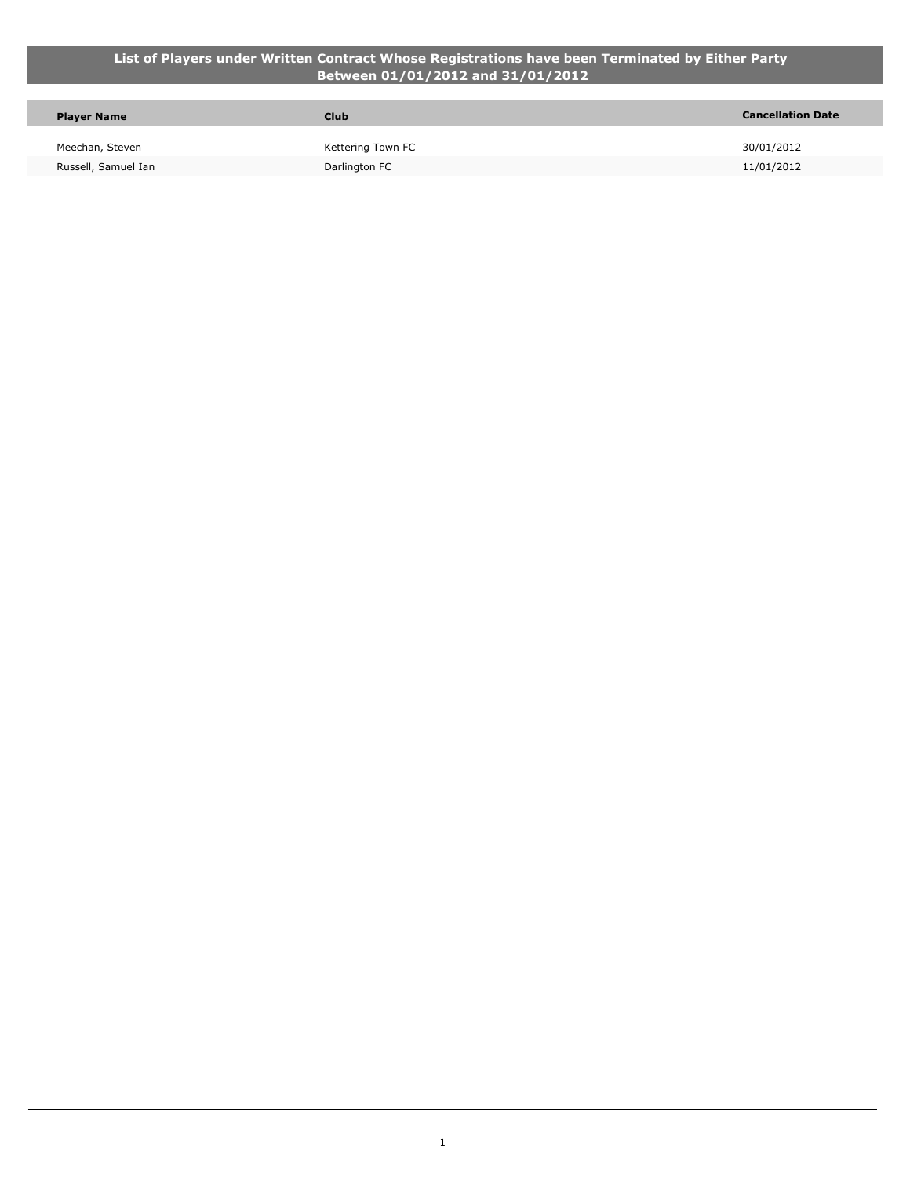#### **List of Players under Written Contract Whose Registrations have been Terminated by Either Party Between 01/01/2012 and 31/01/2012**

| <b>Player Name</b>  | <b>Club</b>       | <b>Cancellation Date</b> |
|---------------------|-------------------|--------------------------|
| Meechan, Steven     | Kettering Town FC | 30/01/2012               |
| Russell, Samuel Ian | Darlington FC     | 11/01/2012               |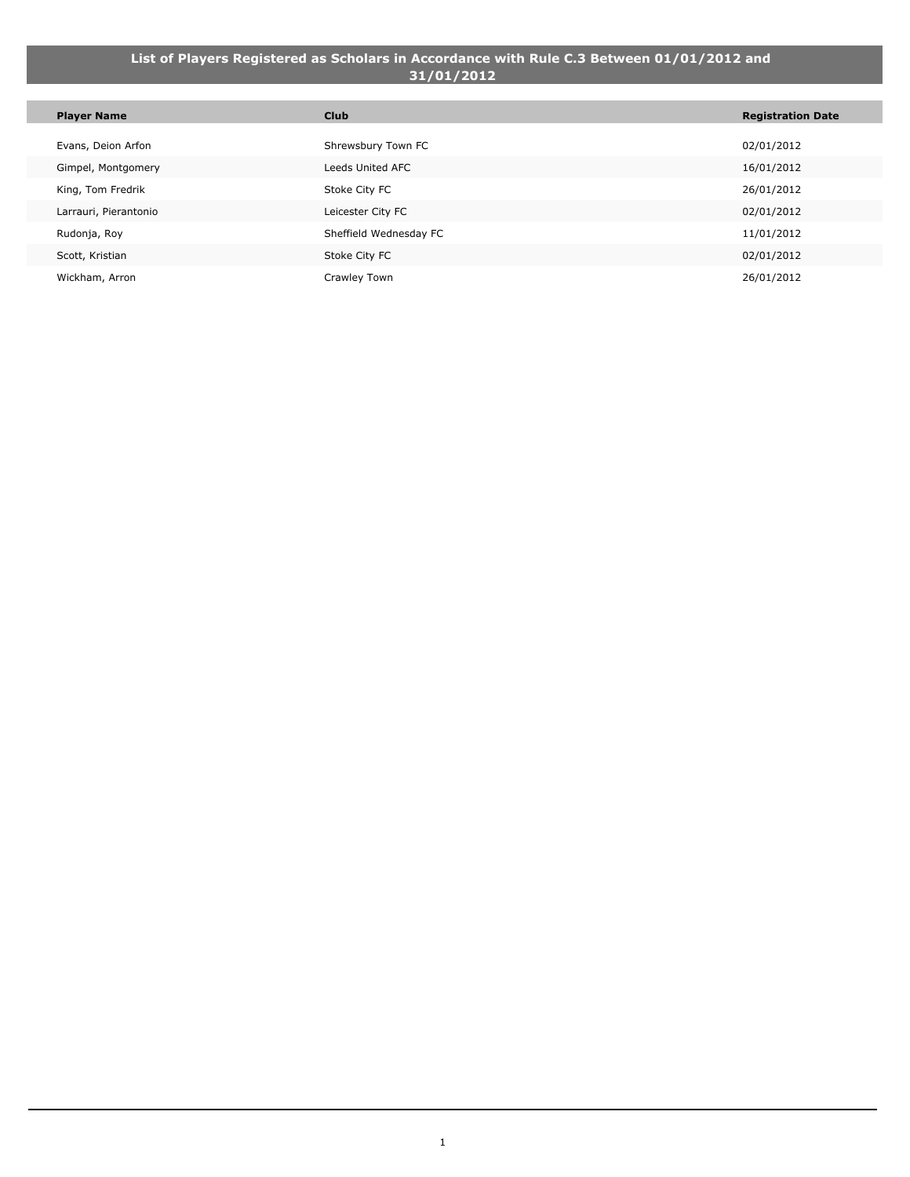#### **List of Players Registered as Scholars in Accordance with Rule C.3 Between 01/01/2012 and 31/01/2012**

| <b>Player Name</b>    | <b>Club</b>            | <b>Registration Date</b> |
|-----------------------|------------------------|--------------------------|
| Evans, Deion Arfon    | Shrewsbury Town FC     | 02/01/2012               |
| Gimpel, Montgomery    | Leeds United AFC       | 16/01/2012               |
| King, Tom Fredrik     | Stoke City FC          | 26/01/2012               |
| Larrauri, Pierantonio | Leicester City FC      | 02/01/2012               |
| Rudonja, Roy          | Sheffield Wednesday FC | 11/01/2012               |
| Scott, Kristian       | Stoke City FC          | 02/01/2012               |
| Wickham, Arron        | Crawley Town           | 26/01/2012               |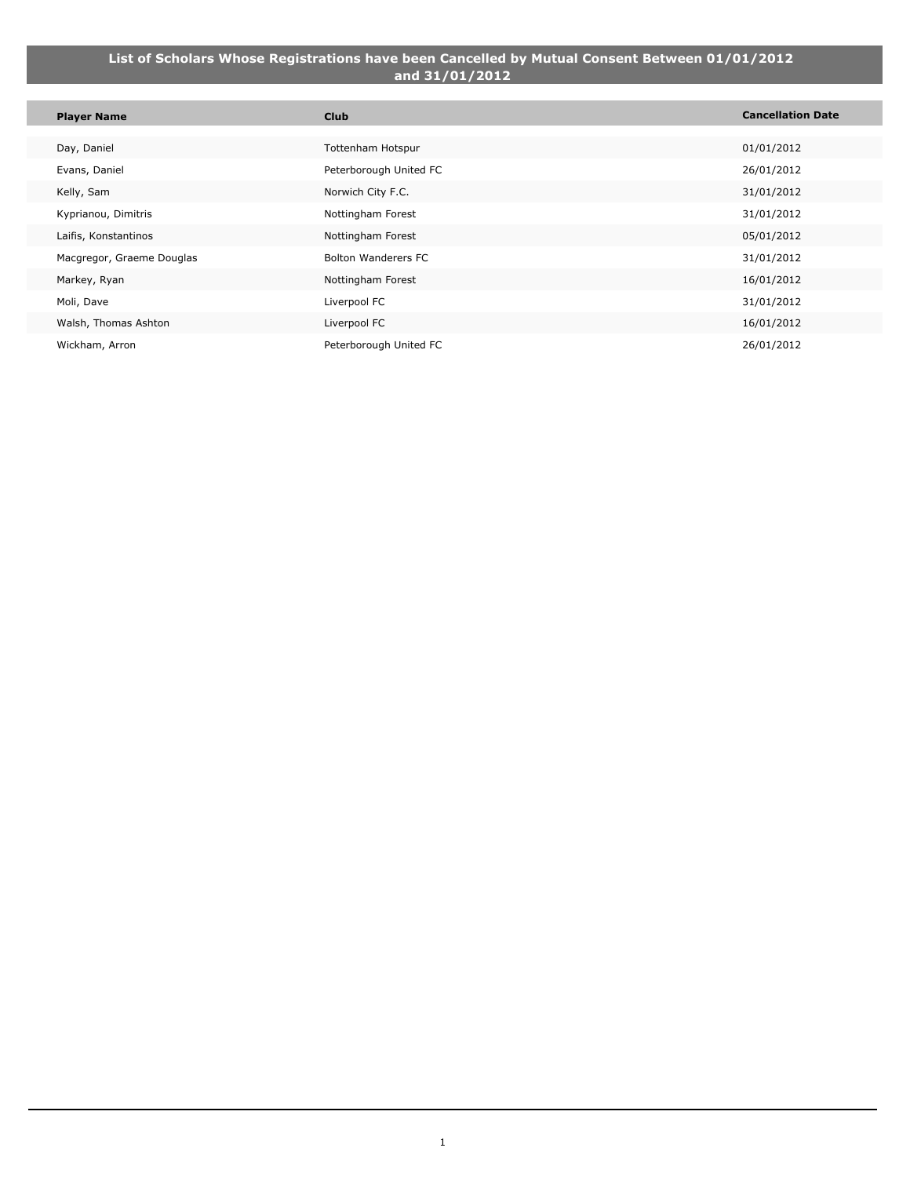#### **List of Scholars Whose Registrations have been Cancelled by Mutual Consent Between 01/01/2012 and 31/01/2012**

| <b>Player Name</b>        | <b>Club</b>                | <b>Cancellation Date</b> |
|---------------------------|----------------------------|--------------------------|
|                           |                            |                          |
| Day, Daniel               | Tottenham Hotspur          | 01/01/2012               |
| Evans, Daniel             | Peterborough United FC     | 26/01/2012               |
| Kelly, Sam                | Norwich City F.C.          | 31/01/2012               |
| Kyprianou, Dimitris       | Nottingham Forest          | 31/01/2012               |
| Laifis, Konstantinos      | Nottingham Forest          | 05/01/2012               |
| Macgregor, Graeme Douglas | <b>Bolton Wanderers FC</b> | 31/01/2012               |
| Markey, Ryan              | Nottingham Forest          | 16/01/2012               |
| Moli, Dave                | Liverpool FC               | 31/01/2012               |
| Walsh, Thomas Ashton      | Liverpool FC               | 16/01/2012               |
| Wickham, Arron            | Peterborough United FC     | 26/01/2012               |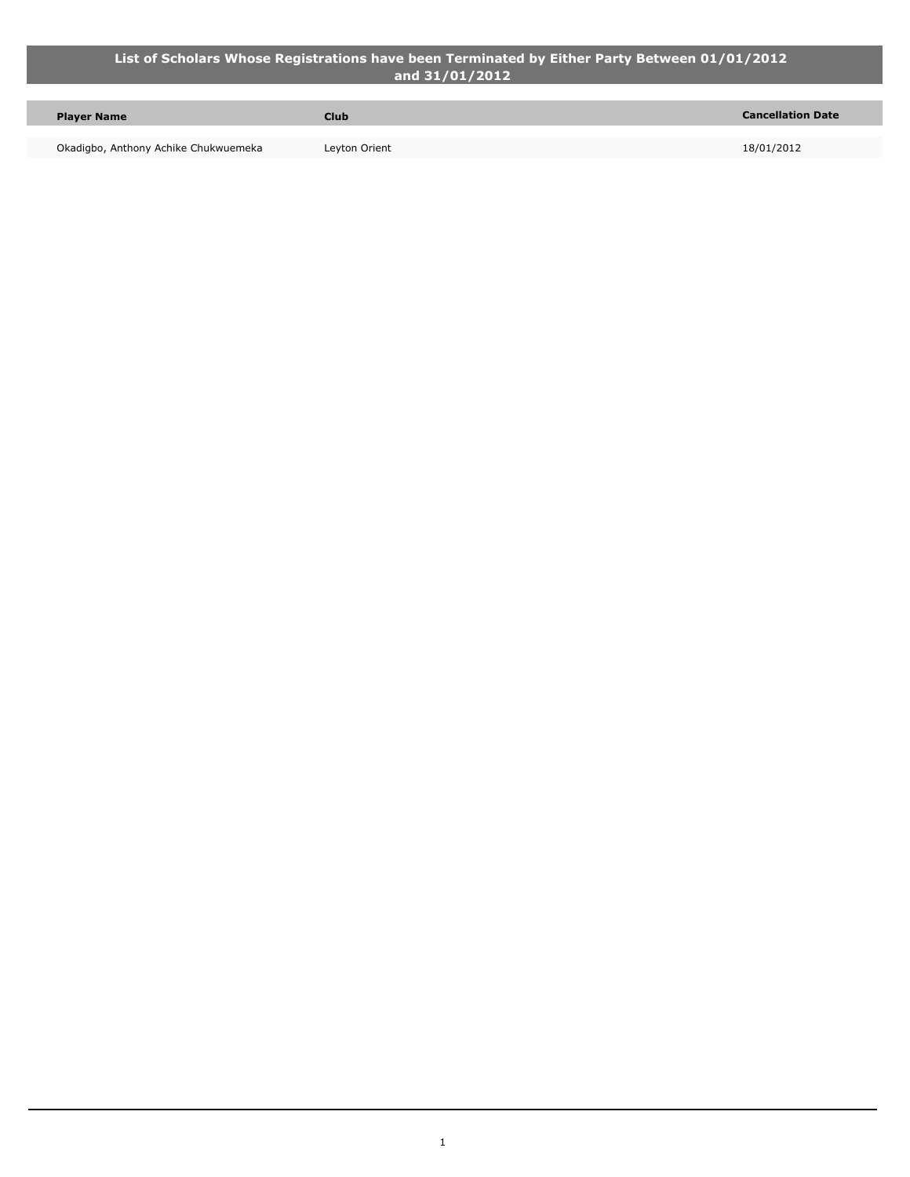#### **List of Scholars Whose Registrations have been Terminated by Either Party Between 01/01/2012 and 31/01/2012**

| <b>Player Name</b>                   | <b>Club</b>   | <b>Cancellation Date</b> |
|--------------------------------------|---------------|--------------------------|
| Okadigbo, Anthony Achike Chukwuemeka | Leyton Orient | 18/01/2012               |

Ţ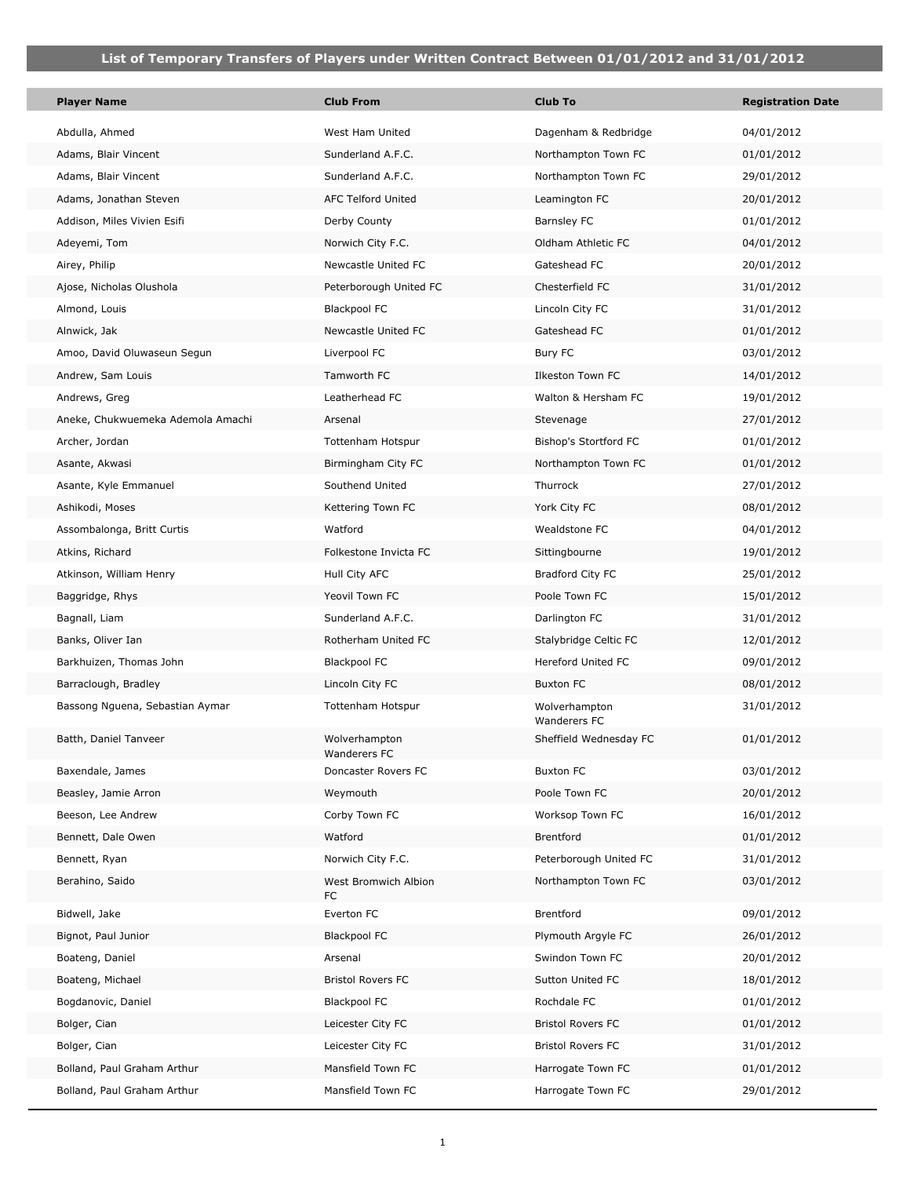| <b>Player Name</b>                | <b>Club From</b>              | <b>Club To</b>                | <b>Registration Date</b> |
|-----------------------------------|-------------------------------|-------------------------------|--------------------------|
| Abdulla, Ahmed                    | West Ham United               | Dagenham & Redbridge          | 04/01/2012               |
| Adams, Blair Vincent              | Sunderland A.F.C.             | Northampton Town FC           | 01/01/2012               |
| Adams, Blair Vincent              | Sunderland A.F.C.             | Northampton Town FC           | 29/01/2012               |
| Adams, Jonathan Steven            | <b>AFC Telford United</b>     | Leamington FC                 | 20/01/2012               |
| Addison, Miles Vivien Esifi       | Derby County                  | Barnsley FC                   | 01/01/2012               |
| Adeyemi, Tom                      | Norwich City F.C.             | Oldham Athletic FC            | 04/01/2012               |
| Airey, Philip                     | Newcastle United FC           | Gateshead FC                  | 20/01/2012               |
| Ajose, Nicholas Olushola          | Peterborough United FC        | Chesterfield FC               | 31/01/2012               |
| Almond, Louis                     | <b>Blackpool FC</b>           | Lincoln City FC               | 31/01/2012               |
| Alnwick, Jak                      | Newcastle United FC           | Gateshead FC                  | 01/01/2012               |
| Amoo, David Oluwaseun Segun       | Liverpool FC                  | Bury FC                       | 03/01/2012               |
| Andrew, Sam Louis                 | Tamworth FC                   | Ilkeston Town FC              | 14/01/2012               |
| Andrews, Greg                     | Leatherhead FC                | Walton & Hersham FC           | 19/01/2012               |
| Aneke, Chukwuemeka Ademola Amachi | Arsenal                       | Stevenage                     | 27/01/2012               |
| Archer, Jordan                    | Tottenham Hotspur             | Bishop's Stortford FC         | 01/01/2012               |
| Asante, Akwasi                    | Birmingham City FC            | Northampton Town FC           | 01/01/2012               |
| Asante, Kyle Emmanuel             | Southend United               | Thurrock                      | 27/01/2012               |
| Ashikodi, Moses                   | Kettering Town FC             | York City FC                  | 08/01/2012               |
| Assombalonga, Britt Curtis        | Watford                       | Wealdstone FC                 | 04/01/2012               |
| Atkins, Richard                   | Folkestone Invicta FC         | Sittingbourne                 | 19/01/2012               |
| Atkinson, William Henry           | Hull City AFC                 | Bradford City FC              | 25/01/2012               |
| Baggridge, Rhys                   | Yeovil Town FC                | Poole Town FC                 | 15/01/2012               |
| Bagnall, Liam                     | Sunderland A.F.C.             | Darlington FC                 | 31/01/2012               |
| Banks, Oliver Ian                 | Rotherham United FC           | Stalybridge Celtic FC         | 12/01/2012               |
| Barkhuizen, Thomas John           | <b>Blackpool FC</b>           | Hereford United FC            | 09/01/2012               |
| Barraclough, Bradley              | Lincoln City FC               | <b>Buxton FC</b>              | 08/01/2012               |
| Bassong Nguena, Sebastian Aymar   | Tottenham Hotspur             | Wolverhampton<br>Wanderers FC | 31/01/2012               |
| Batth, Daniel Tanveer             | Wolverhampton<br>Wanderers FC | Sheffield Wednesday FC        | 01/01/2012               |
| Baxendale, James                  | Doncaster Rovers FC           | <b>Buxton FC</b>              | 03/01/2012               |
| Beasley, Jamie Arron              | Weymouth                      | Poole Town FC                 | 20/01/2012               |
| Beeson, Lee Andrew                | Corby Town FC                 | Worksop Town FC               | 16/01/2012               |
| Bennett, Dale Owen                | Watford                       | Brentford                     | 01/01/2012               |
| Bennett, Ryan                     | Norwich City F.C.             | Peterborough United FC        | 31/01/2012               |
| Berahino, Saido                   | West Bromwich Albion<br>FC    | Northampton Town FC           | 03/01/2012               |
| Bidwell, Jake                     | Everton FC                    | Brentford                     | 09/01/2012               |
| Bignot, Paul Junior               | <b>Blackpool FC</b>           | Plymouth Argyle FC            | 26/01/2012               |
| Boateng, Daniel                   | Arsenal                       | Swindon Town FC               | 20/01/2012               |
| Boateng, Michael                  | <b>Bristol Rovers FC</b>      | Sutton United FC              | 18/01/2012               |
| Bogdanovic, Daniel                | <b>Blackpool FC</b>           | Rochdale FC                   | 01/01/2012               |
| Bolger, Cian                      | Leicester City FC             | <b>Bristol Rovers FC</b>      | 01/01/2012               |
| Bolger, Cian                      | Leicester City FC             | <b>Bristol Rovers FC</b>      | 31/01/2012               |
| Bolland, Paul Graham Arthur       | Mansfield Town FC             | Harrogate Town FC             | 01/01/2012               |
| Bolland, Paul Graham Arthur       | Mansfield Town FC             | Harrogate Town FC             | 29/01/2012               |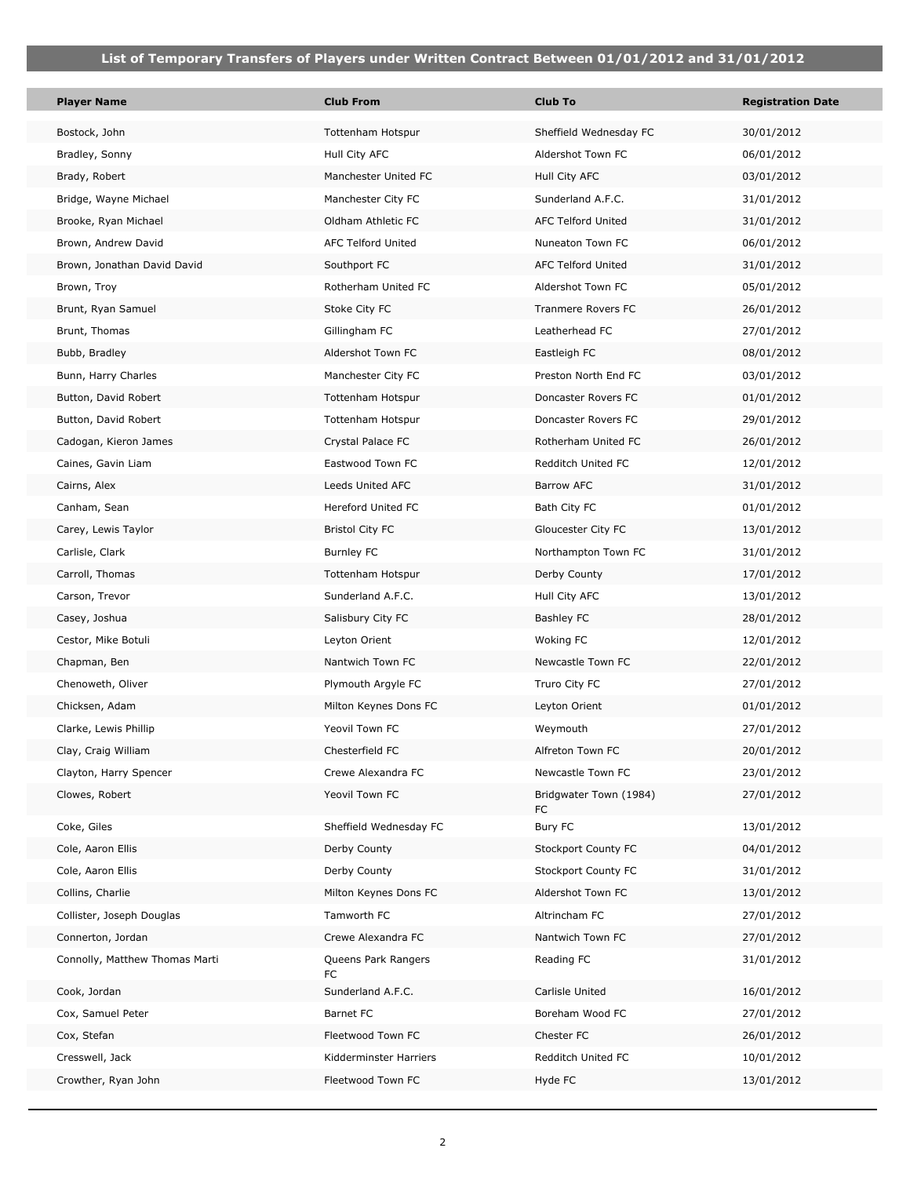| <b>Player Name</b>             | <b>Club From</b>          | <b>Club To</b>               | <b>Registration Date</b> |
|--------------------------------|---------------------------|------------------------------|--------------------------|
| Bostock, John                  | Tottenham Hotspur         | Sheffield Wednesday FC       | 30/01/2012               |
| Bradley, Sonny                 | Hull City AFC             | Aldershot Town FC            | 06/01/2012               |
| Brady, Robert                  | Manchester United FC      | Hull City AFC                | 03/01/2012               |
| Bridge, Wayne Michael          | Manchester City FC        | Sunderland A.F.C.            | 31/01/2012               |
| Brooke, Ryan Michael           | Oldham Athletic FC        | AFC Telford United           | 31/01/2012               |
| Brown, Andrew David            | <b>AFC Telford United</b> | Nuneaton Town FC             | 06/01/2012               |
| Brown, Jonathan David David    | Southport FC              | AFC Telford United           | 31/01/2012               |
| Brown, Troy                    | Rotherham United FC       | Aldershot Town FC            | 05/01/2012               |
| Brunt, Ryan Samuel             | Stoke City FC             | Tranmere Rovers FC           | 26/01/2012               |
| Brunt, Thomas                  | Gillingham FC             | Leatherhead FC               | 27/01/2012               |
| Bubb, Bradley                  | Aldershot Town FC         | Eastleigh FC                 | 08/01/2012               |
| Bunn, Harry Charles            | Manchester City FC        | Preston North End FC         | 03/01/2012               |
| Button, David Robert           | Tottenham Hotspur         | Doncaster Rovers FC          | 01/01/2012               |
| Button, David Robert           | Tottenham Hotspur         | Doncaster Rovers FC          | 29/01/2012               |
| Cadogan, Kieron James          | Crystal Palace FC         | Rotherham United FC          | 26/01/2012               |
| Caines, Gavin Liam             | Eastwood Town FC          | Redditch United FC           | 12/01/2012               |
| Cairns, Alex                   | Leeds United AFC          | <b>Barrow AFC</b>            | 31/01/2012               |
| Canham, Sean                   | Hereford United FC        | Bath City FC                 | 01/01/2012               |
| Carey, Lewis Taylor            | <b>Bristol City FC</b>    | Gloucester City FC           | 13/01/2012               |
| Carlisle, Clark                | <b>Burnley FC</b>         | Northampton Town FC          | 31/01/2012               |
| Carroll, Thomas                | Tottenham Hotspur         | Derby County                 | 17/01/2012               |
| Carson, Trevor                 | Sunderland A.F.C.         | Hull City AFC                | 13/01/2012               |
| Casey, Joshua                  | Salisbury City FC         | <b>Bashley FC</b>            | 28/01/2012               |
| Cestor, Mike Botuli            | Leyton Orient             | Woking FC                    | 12/01/2012               |
| Chapman, Ben                   | Nantwich Town FC          | Newcastle Town FC            | 22/01/2012               |
| Chenoweth, Oliver              | Plymouth Argyle FC        | Truro City FC                | 27/01/2012               |
| Chicksen, Adam                 | Milton Keynes Dons FC     | Leyton Orient                | 01/01/2012               |
| Clarke, Lewis Phillip          | Yeovil Town FC            | Weymouth                     | 27/01/2012               |
| Clay, Craig William            | Chesterfield FC           | Alfreton Town FC             | 20/01/2012               |
| Clayton, Harry Spencer         | Crewe Alexandra FC        | Newcastle Town FC            | 23/01/2012               |
| Clowes, Robert                 | Yeovil Town FC            | Bridgwater Town (1984)<br>FC | 27/01/2012               |
| Coke, Giles                    | Sheffield Wednesday FC    | Bury FC                      | 13/01/2012               |
| Cole, Aaron Ellis              | Derby County              | Stockport County FC          | 04/01/2012               |
| Cole, Aaron Ellis              | Derby County              | Stockport County FC          | 31/01/2012               |
| Collins, Charlie               | Milton Keynes Dons FC     | Aldershot Town FC            | 13/01/2012               |
| Collister, Joseph Douglas      | Tamworth FC               | Altrincham FC                | 27/01/2012               |
| Connerton, Jordan              | Crewe Alexandra FC        | Nantwich Town FC             | 27/01/2012               |
| Connolly, Matthew Thomas Marti | Queens Park Rangers<br>FC | Reading FC                   | 31/01/2012               |
| Cook, Jordan                   | Sunderland A.F.C.         | Carlisle United              | 16/01/2012               |
| Cox, Samuel Peter              | Barnet FC                 | Boreham Wood FC              | 27/01/2012               |
| Cox, Stefan                    | Fleetwood Town FC         | Chester FC                   | 26/01/2012               |
| Cresswell, Jack                | Kidderminster Harriers    | Redditch United FC           | 10/01/2012               |
| Crowther, Ryan John            | Fleetwood Town FC         | Hyde FC                      | 13/01/2012               |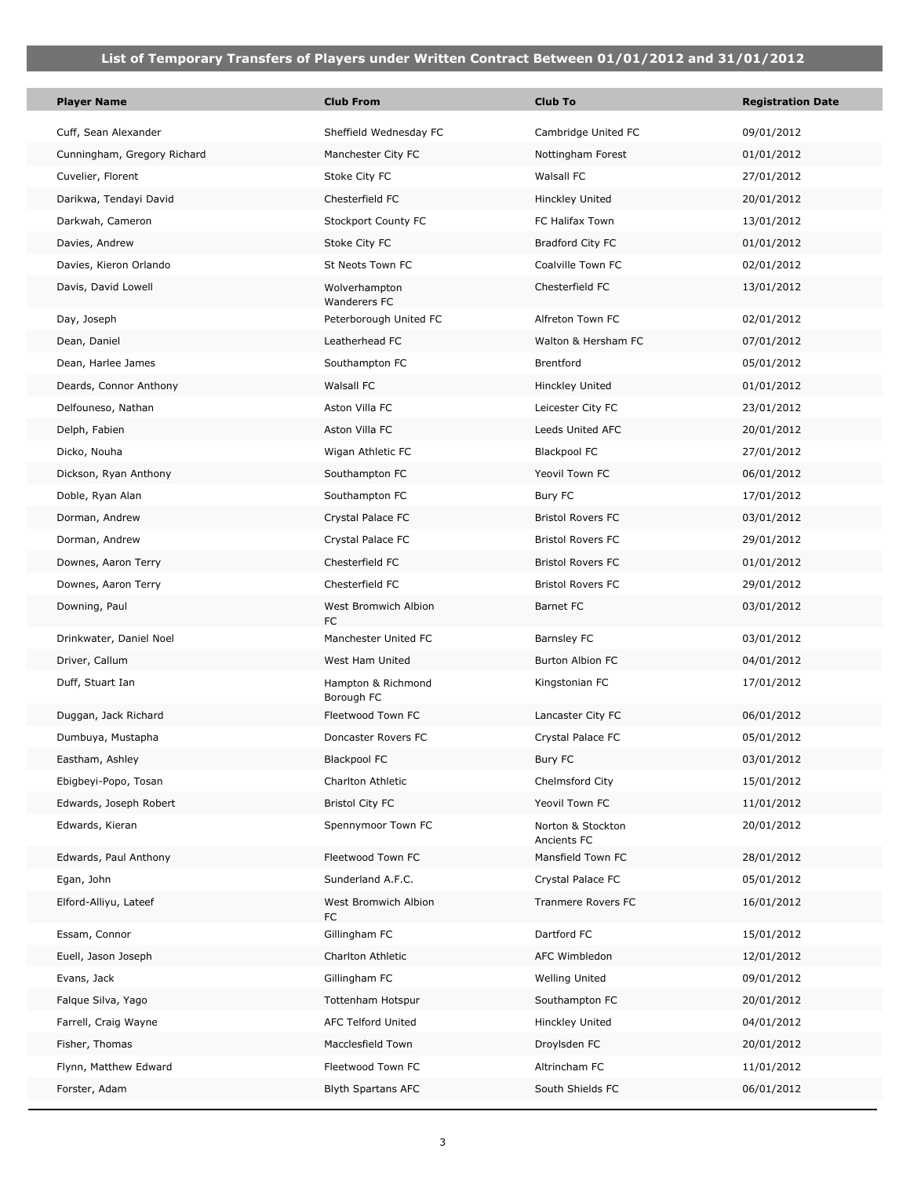p.

| <b>Player Name</b>          | <b>Club From</b>                 | <b>Club To</b>                   | <b>Registration Date</b> |
|-----------------------------|----------------------------------|----------------------------------|--------------------------|
| Cuff, Sean Alexander        | Sheffield Wednesday FC           | Cambridge United FC              | 09/01/2012               |
| Cunningham, Gregory Richard | Manchester City FC               | Nottingham Forest                | 01/01/2012               |
| Cuvelier, Florent           | Stoke City FC                    | Walsall FC                       | 27/01/2012               |
| Darikwa, Tendayi David      | Chesterfield FC                  | Hinckley United                  | 20/01/2012               |
| Darkwah, Cameron            | Stockport County FC              | FC Halifax Town                  | 13/01/2012               |
| Davies, Andrew              | Stoke City FC                    | Bradford City FC                 | 01/01/2012               |
| Davies, Kieron Orlando      | St Neots Town FC                 | Coalville Town FC                | 02/01/2012               |
| Davis, David Lowell         | Wolverhampton<br>Wanderers FC    | Chesterfield FC                  | 13/01/2012               |
| Day, Joseph                 | Peterborough United FC           | Alfreton Town FC                 | 02/01/2012               |
| Dean, Daniel                | Leatherhead FC                   | Walton & Hersham FC              | 07/01/2012               |
| Dean, Harlee James          | Southampton FC                   | Brentford                        | 05/01/2012               |
| Deards, Connor Anthony      | Walsall FC                       | Hinckley United                  | 01/01/2012               |
| Delfouneso, Nathan          | Aston Villa FC                   | Leicester City FC                | 23/01/2012               |
| Delph, Fabien               | Aston Villa FC                   | Leeds United AFC                 | 20/01/2012               |
| Dicko, Nouha                | Wigan Athletic FC                | <b>Blackpool FC</b>              | 27/01/2012               |
| Dickson, Ryan Anthony       | Southampton FC                   | Yeovil Town FC                   | 06/01/2012               |
| Doble, Ryan Alan            | Southampton FC                   | Bury FC                          | 17/01/2012               |
| Dorman, Andrew              | Crystal Palace FC                | <b>Bristol Rovers FC</b>         | 03/01/2012               |
| Dorman, Andrew              | Crystal Palace FC                | <b>Bristol Rovers FC</b>         | 29/01/2012               |
| Downes, Aaron Terry         | Chesterfield FC                  | <b>Bristol Rovers FC</b>         | 01/01/2012               |
| Downes, Aaron Terry         | Chesterfield FC                  | <b>Bristol Rovers FC</b>         | 29/01/2012               |
| Downing, Paul               | West Bromwich Albion<br>FC       | Barnet FC                        | 03/01/2012               |
| Drinkwater, Daniel Noel     | Manchester United FC             | Barnsley FC                      | 03/01/2012               |
| Driver, Callum              | West Ham United                  | Burton Albion FC                 | 04/01/2012               |
| Duff, Stuart Ian            | Hampton & Richmond<br>Borough FC | Kingstonian FC                   | 17/01/2012               |
| Duggan, Jack Richard        | Fleetwood Town FC                | Lancaster City FC                | 06/01/2012               |
| Dumbuya, Mustapha           | Doncaster Rovers FC              | Crystal Palace FC                | 05/01/2012               |
| Eastham, Ashley             | <b>Blackpool FC</b>              | Bury FC                          | 03/01/2012               |
| Ebigbeyi-Popo, Tosan        | Charlton Athletic                | Chelmsford City                  | 15/01/2012               |
| Edwards, Joseph Robert      | <b>Bristol City FC</b>           | Yeovil Town FC                   | 11/01/2012               |
| Edwards, Kieran             | Spennymoor Town FC               | Norton & Stockton<br>Ancients FC | 20/01/2012               |
| Edwards, Paul Anthony       | Fleetwood Town FC                | Mansfield Town FC                | 28/01/2012               |
| Egan, John                  | Sunderland A.F.C.                | Crystal Palace FC                | 05/01/2012               |
| Elford-Alliyu, Lateef       | West Bromwich Albion<br>FC       | Tranmere Rovers FC               | 16/01/2012               |
| Essam, Connor               | Gillingham FC                    | Dartford FC                      | 15/01/2012               |
| Euell, Jason Joseph         | Charlton Athletic                | AFC Wimbledon                    | 12/01/2012               |
| Evans, Jack                 | Gillingham FC                    | <b>Welling United</b>            | 09/01/2012               |
| Falque Silva, Yago          | Tottenham Hotspur                | Southampton FC                   | 20/01/2012               |
| Farrell, Craig Wayne        | <b>AFC Telford United</b>        | Hinckley United                  | 04/01/2012               |
| Fisher, Thomas              | Macclesfield Town                | Droylsden FC                     | 20/01/2012               |
| Flynn, Matthew Edward       | Fleetwood Town FC                | Altrincham FC                    | 11/01/2012               |
| Forster, Adam               | <b>Blyth Spartans AFC</b>        | South Shields FC                 | 06/01/2012               |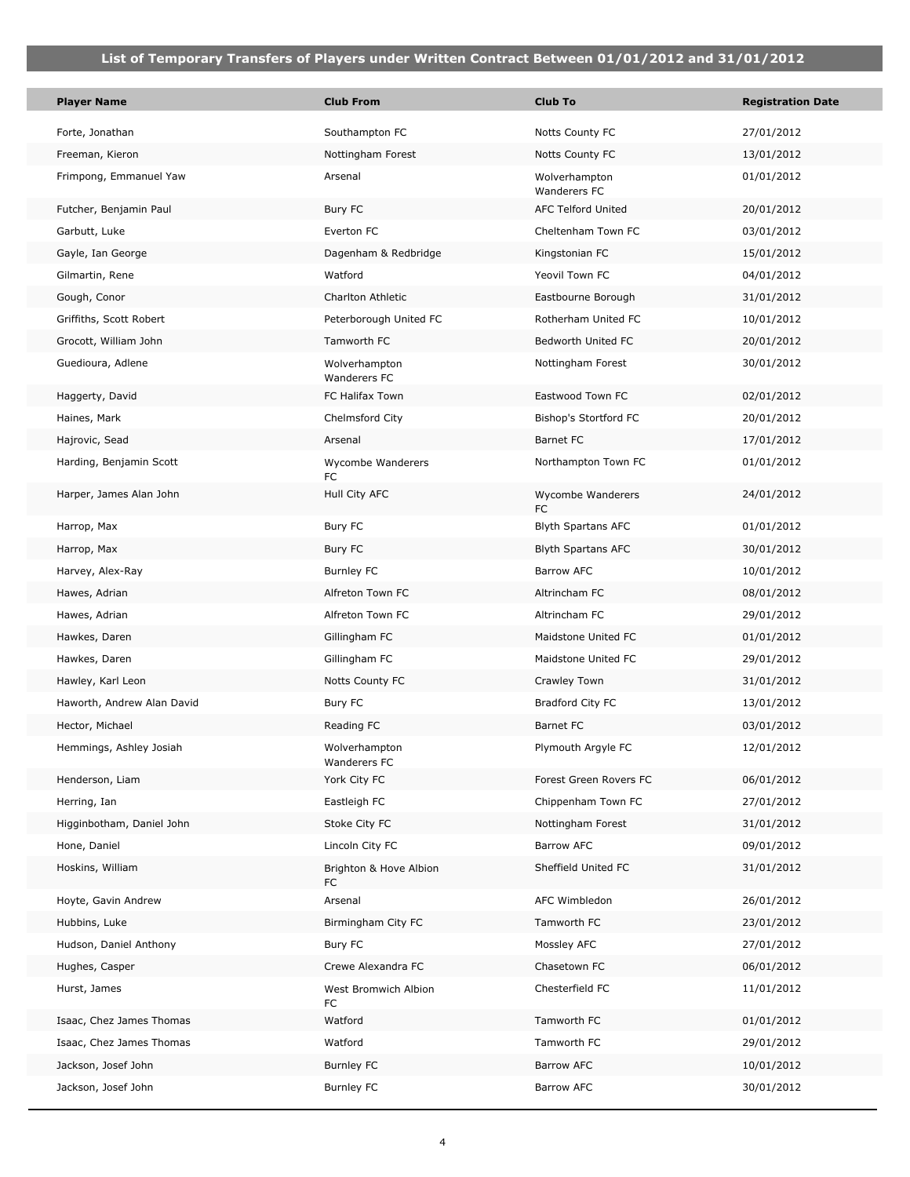| <b>Player Name</b>         | <b>Club From</b>              | <b>Club To</b>                | <b>Registration Date</b> |
|----------------------------|-------------------------------|-------------------------------|--------------------------|
| Forte, Jonathan            | Southampton FC                | Notts County FC               | 27/01/2012               |
| Freeman, Kieron            | Nottingham Forest             | Notts County FC               | 13/01/2012               |
| Frimpong, Emmanuel Yaw     | Arsenal                       | Wolverhampton<br>Wanderers FC | 01/01/2012               |
| Futcher, Benjamin Paul     | Bury FC                       | <b>AFC Telford United</b>     | 20/01/2012               |
| Garbutt, Luke              | Everton FC                    | Cheltenham Town FC            | 03/01/2012               |
| Gayle, Ian George          | Dagenham & Redbridge          | Kingstonian FC                | 15/01/2012               |
| Gilmartin, Rene            | Watford                       | Yeovil Town FC                | 04/01/2012               |
| Gough, Conor               | <b>Charlton Athletic</b>      | Eastbourne Borough            | 31/01/2012               |
| Griffiths, Scott Robert    | Peterborough United FC        | Rotherham United FC           | 10/01/2012               |
| Grocott, William John      | Tamworth FC                   | Bedworth United FC            | 20/01/2012               |
| Guedioura, Adlene          | Wolverhampton<br>Wanderers FC | Nottingham Forest             | 30/01/2012               |
| Haggerty, David            | FC Halifax Town               | Eastwood Town FC              | 02/01/2012               |
| Haines, Mark               | Chelmsford City               | Bishop's Stortford FC         | 20/01/2012               |
| Hajrovic, Sead             | Arsenal                       | <b>Barnet FC</b>              | 17/01/2012               |
| Harding, Benjamin Scott    | Wycombe Wanderers<br>FC       | Northampton Town FC           | 01/01/2012               |
| Harper, James Alan John    | Hull City AFC                 | Wycombe Wanderers<br>FC       | 24/01/2012               |
| Harrop, Max                | Bury FC                       | <b>Blyth Spartans AFC</b>     | 01/01/2012               |
| Harrop, Max                | Bury FC                       | <b>Blyth Spartans AFC</b>     | 30/01/2012               |
| Harvey, Alex-Ray           | <b>Burnley FC</b>             | Barrow AFC                    | 10/01/2012               |
| Hawes, Adrian              | Alfreton Town FC              | Altrincham FC                 | 08/01/2012               |
| Hawes, Adrian              | Alfreton Town FC              | Altrincham FC                 | 29/01/2012               |
| Hawkes, Daren              | Gillingham FC                 | Maidstone United FC           | 01/01/2012               |
| Hawkes, Daren              | Gillingham FC                 | Maidstone United FC           | 29/01/2012               |
| Hawley, Karl Leon          | Notts County FC               | Crawley Town                  | 31/01/2012               |
| Haworth, Andrew Alan David | Bury FC                       | Bradford City FC              | 13/01/2012               |
| Hector, Michael            | Reading FC                    | <b>Barnet FC</b>              | 03/01/2012               |
| Hemmings, Ashley Josiah    | Wolverhampton<br>Wanderers FC | Plymouth Argyle FC            | 12/01/2012               |
| Henderson, Liam            | York City FC                  | Forest Green Rovers FC        | 06/01/2012               |
| Herring, Ian               | Eastleigh FC                  | Chippenham Town FC            | 27/01/2012               |
| Higginbotham, Daniel John  | Stoke City FC                 | Nottingham Forest             | 31/01/2012               |
| Hone, Daniel               | Lincoln City FC               | Barrow AFC                    | 09/01/2012               |
| Hoskins, William           | Brighton & Hove Albion<br>FC  | Sheffield United FC           | 31/01/2012               |
| Hoyte, Gavin Andrew        | Arsenal                       | AFC Wimbledon                 | 26/01/2012               |
| Hubbins, Luke              | Birmingham City FC            | Tamworth FC                   | 23/01/2012               |
| Hudson, Daniel Anthony     | Bury FC                       | Mossley AFC                   | 27/01/2012               |
| Hughes, Casper             | Crewe Alexandra FC            | Chasetown FC                  | 06/01/2012               |
| Hurst, James               | West Bromwich Albion<br>FC    | Chesterfield FC               | 11/01/2012               |
| Isaac, Chez James Thomas   | Watford                       | Tamworth FC                   | 01/01/2012               |
| Isaac, Chez James Thomas   | Watford                       | Tamworth FC                   | 29/01/2012               |
| Jackson, Josef John        | <b>Burnley FC</b>             | Barrow AFC                    | 10/01/2012               |
| Jackson, Josef John        | <b>Burnley FC</b>             | Barrow AFC                    | 30/01/2012               |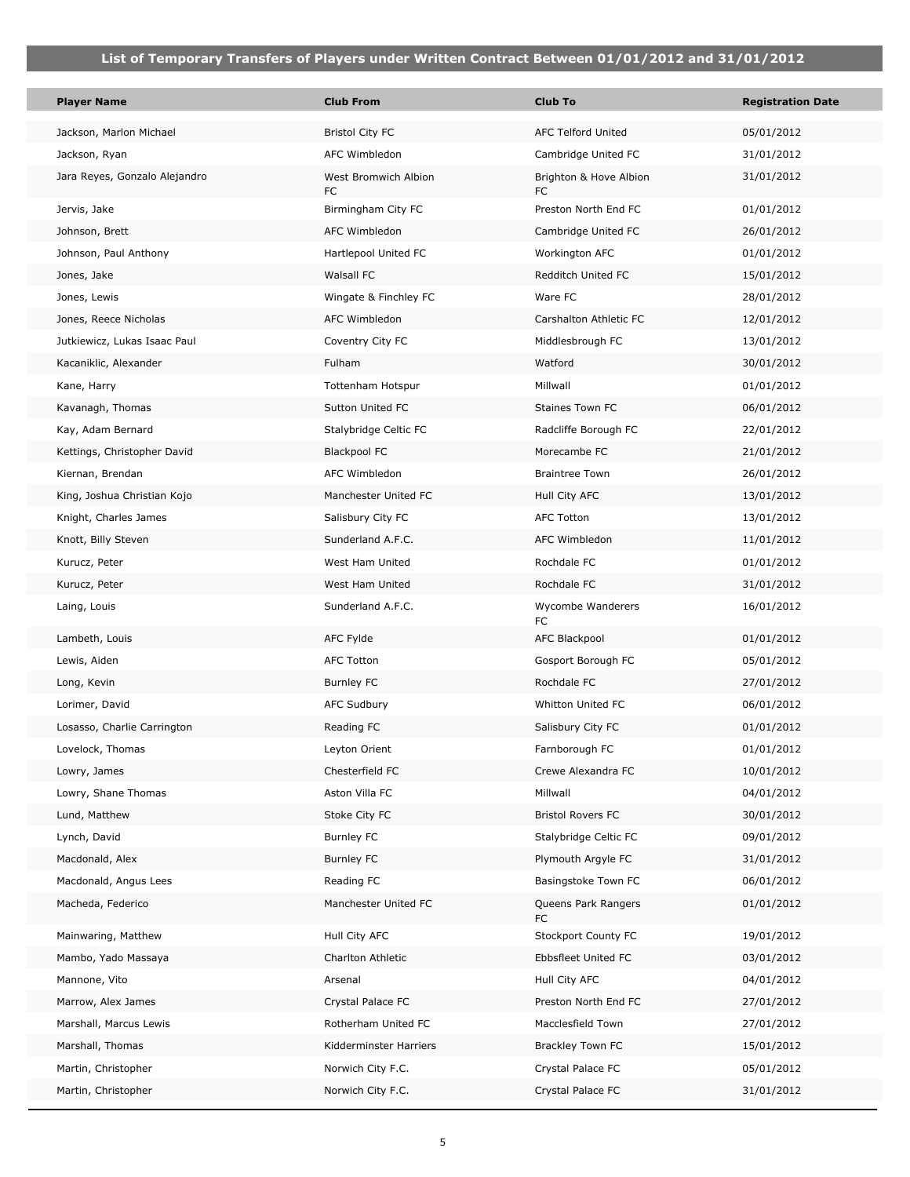| <b>Player Name</b>            | <b>Club From</b>           | Club To                       | <b>Registration Date</b> |
|-------------------------------|----------------------------|-------------------------------|--------------------------|
| Jackson, Marlon Michael       | <b>Bristol City FC</b>     | <b>AFC Telford United</b>     | 05/01/2012               |
| Jackson, Ryan                 | AFC Wimbledon              | Cambridge United FC           | 31/01/2012               |
| Jara Reyes, Gonzalo Alejandro | West Bromwich Albion<br>FC | Brighton & Hove Albion<br>FC. | 31/01/2012               |
| Jervis, Jake                  | Birmingham City FC         | Preston North End FC          | 01/01/2012               |
| Johnson, Brett                | AFC Wimbledon              | Cambridge United FC           | 26/01/2012               |
| Johnson, Paul Anthony         | Hartlepool United FC       | Workington AFC                | 01/01/2012               |
| Jones, Jake                   | Walsall FC                 | Redditch United FC            | 15/01/2012               |
| Jones, Lewis                  | Wingate & Finchley FC      | Ware FC                       | 28/01/2012               |
| Jones, Reece Nicholas         | AFC Wimbledon              | Carshalton Athletic FC        | 12/01/2012               |
| Jutkiewicz, Lukas Isaac Paul  | Coventry City FC           | Middlesbrough FC              | 13/01/2012               |
| Kacaniklic, Alexander         | Fulham                     | Watford                       | 30/01/2012               |
| Kane, Harry                   | Tottenham Hotspur          | Millwall                      | 01/01/2012               |
| Kavanagh, Thomas              | Sutton United FC           | Staines Town FC               | 06/01/2012               |
| Kay, Adam Bernard             | Stalybridge Celtic FC      | Radcliffe Borough FC          | 22/01/2012               |
| Kettings, Christopher David   | <b>Blackpool FC</b>        | Morecambe FC                  | 21/01/2012               |
| Kiernan, Brendan              | AFC Wimbledon              | <b>Braintree Town</b>         | 26/01/2012               |
| King, Joshua Christian Kojo   | Manchester United FC       | Hull City AFC                 | 13/01/2012               |
| Knight, Charles James         | Salisbury City FC          | <b>AFC Totton</b>             | 13/01/2012               |
| Knott, Billy Steven           | Sunderland A.F.C.          | AFC Wimbledon                 | 11/01/2012               |
| Kurucz, Peter                 | West Ham United            | Rochdale FC                   | 01/01/2012               |
| Kurucz, Peter                 | West Ham United            | Rochdale FC                   | 31/01/2012               |
| Laing, Louis                  | Sunderland A.F.C.          | Wycombe Wanderers<br>FC       | 16/01/2012               |
| Lambeth, Louis                | AFC Fylde                  | AFC Blackpool                 | 01/01/2012               |
| Lewis, Aiden                  | <b>AFC Totton</b>          | Gosport Borough FC            | 05/01/2012               |
| Long, Kevin                   | <b>Burnley FC</b>          | Rochdale FC                   | 27/01/2012               |
| Lorimer, David                | <b>AFC Sudbury</b>         | Whitton United FC             | 06/01/2012               |
| Losasso, Charlie Carrington   | Reading FC                 | Salisbury City FC             | 01/01/2012               |
| Lovelock, Thomas              | Leyton Orient              | Farnborough FC                | 01/01/2012               |
| Lowry, James                  | Chesterfield FC            | Crewe Alexandra FC            | 10/01/2012               |
| Lowry, Shane Thomas           | Aston Villa FC             | Millwall                      | 04/01/2012               |
| Lund, Matthew                 | Stoke City FC              | <b>Bristol Rovers FC</b>      | 30/01/2012               |
| Lynch, David                  | Burnley FC                 | Stalybridge Celtic FC         | 09/01/2012               |
| Macdonald, Alex               | <b>Burnley FC</b>          | Plymouth Argyle FC            | 31/01/2012               |
| Macdonald, Angus Lees         | Reading FC                 | Basingstoke Town FC           | 06/01/2012               |
| Macheda, Federico             | Manchester United FC       | Queens Park Rangers<br>FC     | 01/01/2012               |
| Mainwaring, Matthew           | Hull City AFC              | Stockport County FC           | 19/01/2012               |
| Mambo, Yado Massaya           | Charlton Athletic          | Ebbsfleet United FC           | 03/01/2012               |
| Mannone, Vito                 | Arsenal                    | Hull City AFC                 | 04/01/2012               |
| Marrow, Alex James            | Crystal Palace FC          | Preston North End FC          | 27/01/2012               |
| Marshall, Marcus Lewis        | Rotherham United FC        | Macclesfield Town             | 27/01/2012               |
| Marshall, Thomas              | Kidderminster Harriers     | Brackley Town FC              | 15/01/2012               |
| Martin, Christopher           | Norwich City F.C.          | Crystal Palace FC             | 05/01/2012               |
| Martin, Christopher           | Norwich City F.C.          | Crystal Palace FC             | 31/01/2012               |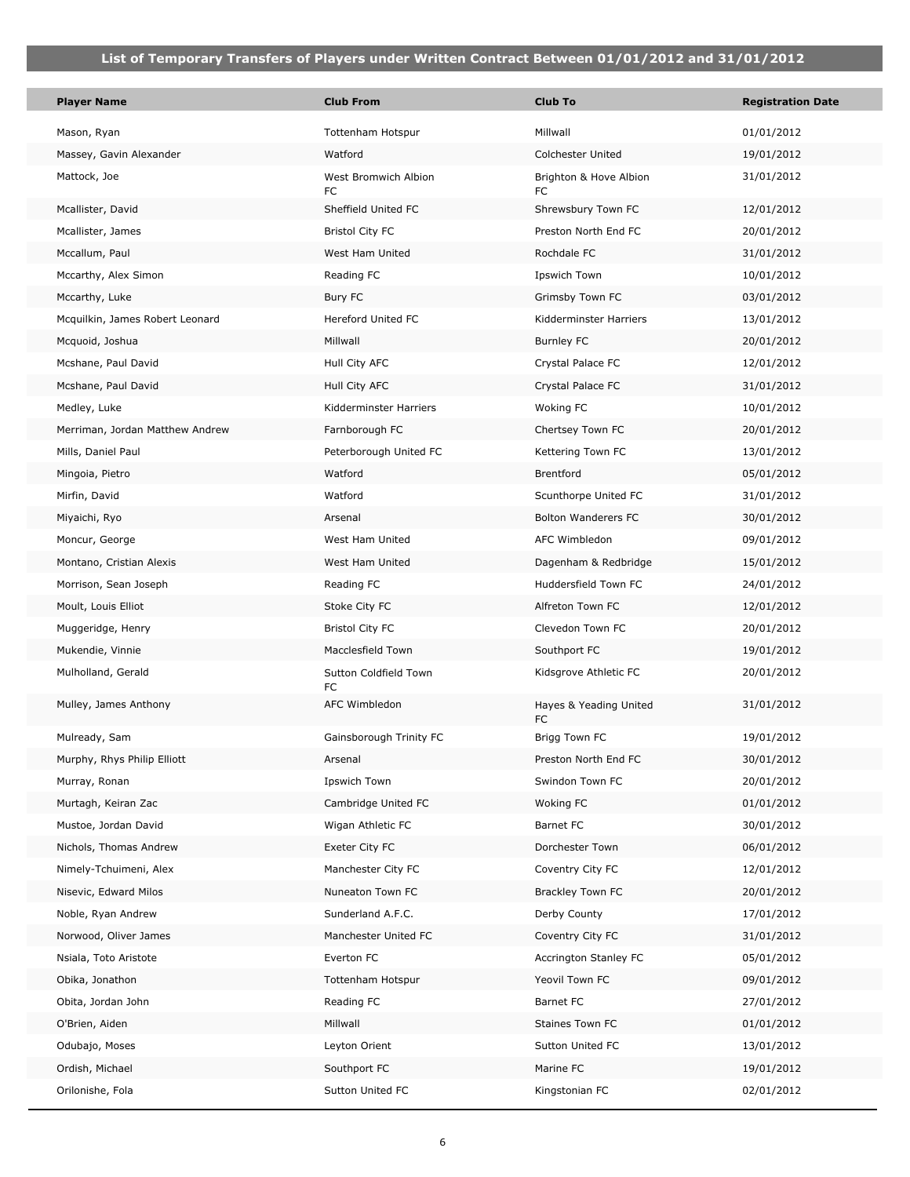| <b>Player Name</b>              | <b>Club From</b>            | <b>Club To</b>                | <b>Registration Date</b> |
|---------------------------------|-----------------------------|-------------------------------|--------------------------|
| Mason, Ryan                     | Tottenham Hotspur           | Millwall                      | 01/01/2012               |
| Massey, Gavin Alexander         | Watford                     | Colchester United             | 19/01/2012               |
| Mattock, Joe                    | West Bromwich Albion<br>FC  | Brighton & Hove Albion<br>FC  | 31/01/2012               |
| Mcallister, David               | Sheffield United FC         | Shrewsbury Town FC            | 12/01/2012               |
| Mcallister, James               | <b>Bristol City FC</b>      | Preston North End FC          | 20/01/2012               |
| Mccallum, Paul                  | West Ham United             | Rochdale FC                   | 31/01/2012               |
| Mccarthy, Alex Simon            | Reading FC                  | Ipswich Town                  | 10/01/2012               |
| Mccarthy, Luke                  | Bury FC                     | Grimsby Town FC               | 03/01/2012               |
| Mcquilkin, James Robert Leonard | <b>Hereford United FC</b>   | Kidderminster Harriers        | 13/01/2012               |
| Mcquoid, Joshua                 | Millwall                    | <b>Burnley FC</b>             | 20/01/2012               |
| Mcshane, Paul David             | Hull City AFC               | Crystal Palace FC             | 12/01/2012               |
| Mcshane, Paul David             | Hull City AFC               | Crystal Palace FC             | 31/01/2012               |
| Medley, Luke                    | Kidderminster Harriers      | Woking FC                     | 10/01/2012               |
| Merriman, Jordan Matthew Andrew | Farnborough FC              | Chertsey Town FC              | 20/01/2012               |
| Mills, Daniel Paul              | Peterborough United FC      | Kettering Town FC             | 13/01/2012               |
| Mingoia, Pietro                 | Watford                     | <b>Brentford</b>              | 05/01/2012               |
| Mirfin, David                   | Watford                     | Scunthorpe United FC          | 31/01/2012               |
| Miyaichi, Ryo                   | Arsenal                     | <b>Bolton Wanderers FC</b>    | 30/01/2012               |
| Moncur, George                  | West Ham United             | AFC Wimbledon                 | 09/01/2012               |
| Montano, Cristian Alexis        | West Ham United             | Dagenham & Redbridge          | 15/01/2012               |
| Morrison, Sean Joseph           | Reading FC                  | Huddersfield Town FC          | 24/01/2012               |
| Moult, Louis Elliot             | Stoke City FC               | Alfreton Town FC              | 12/01/2012               |
| Muggeridge, Henry               | <b>Bristol City FC</b>      | Clevedon Town FC              | 20/01/2012               |
| Mukendie, Vinnie                | Macclesfield Town           | Southport FC                  | 19/01/2012               |
| Mulholland, Gerald              | Sutton Coldfield Town<br>FC | Kidsgrove Athletic FC         | 20/01/2012               |
| Mulley, James Anthony           | AFC Wimbledon               | Hayes & Yeading United<br>FC. | 31/01/2012               |
| Mulready, Sam                   | Gainsborough Trinity FC     | Brigg Town FC                 | 19/01/2012               |
| Murphy, Rhys Philip Elliott     | Arsenal                     | Preston North End FC          | 30/01/2012               |
| Murray, Ronan                   | Ipswich Town                | Swindon Town FC               | 20/01/2012               |
| Murtagh, Keiran Zac             | Cambridge United FC         | Woking FC                     | 01/01/2012               |
| Mustoe, Jordan David            | Wigan Athletic FC           | Barnet FC                     | 30/01/2012               |
| Nichols, Thomas Andrew          | Exeter City FC              | Dorchester Town               | 06/01/2012               |
| Nimely-Tchuimeni, Alex          | Manchester City FC          | Coventry City FC              | 12/01/2012               |
| Nisevic, Edward Milos           | Nuneaton Town FC            | Brackley Town FC              | 20/01/2012               |
| Noble, Ryan Andrew              | Sunderland A.F.C.           | Derby County                  | 17/01/2012               |
| Norwood, Oliver James           | Manchester United FC        | Coventry City FC              | 31/01/2012               |
| Nsiala, Toto Aristote           | Everton FC                  | Accrington Stanley FC         | 05/01/2012               |
| Obika, Jonathon                 | Tottenham Hotspur           | Yeovil Town FC                | 09/01/2012               |
| Obita, Jordan John              | Reading FC                  | Barnet FC                     | 27/01/2012               |
| O'Brien, Aiden                  | Millwall                    | Staines Town FC               | 01/01/2012               |
| Odubajo, Moses                  | Leyton Orient               | Sutton United FC              | 13/01/2012               |
| Ordish, Michael                 | Southport FC                | Marine FC                     | 19/01/2012               |
| Orilonishe, Fola                | Sutton United FC            | Kingstonian FC                | 02/01/2012               |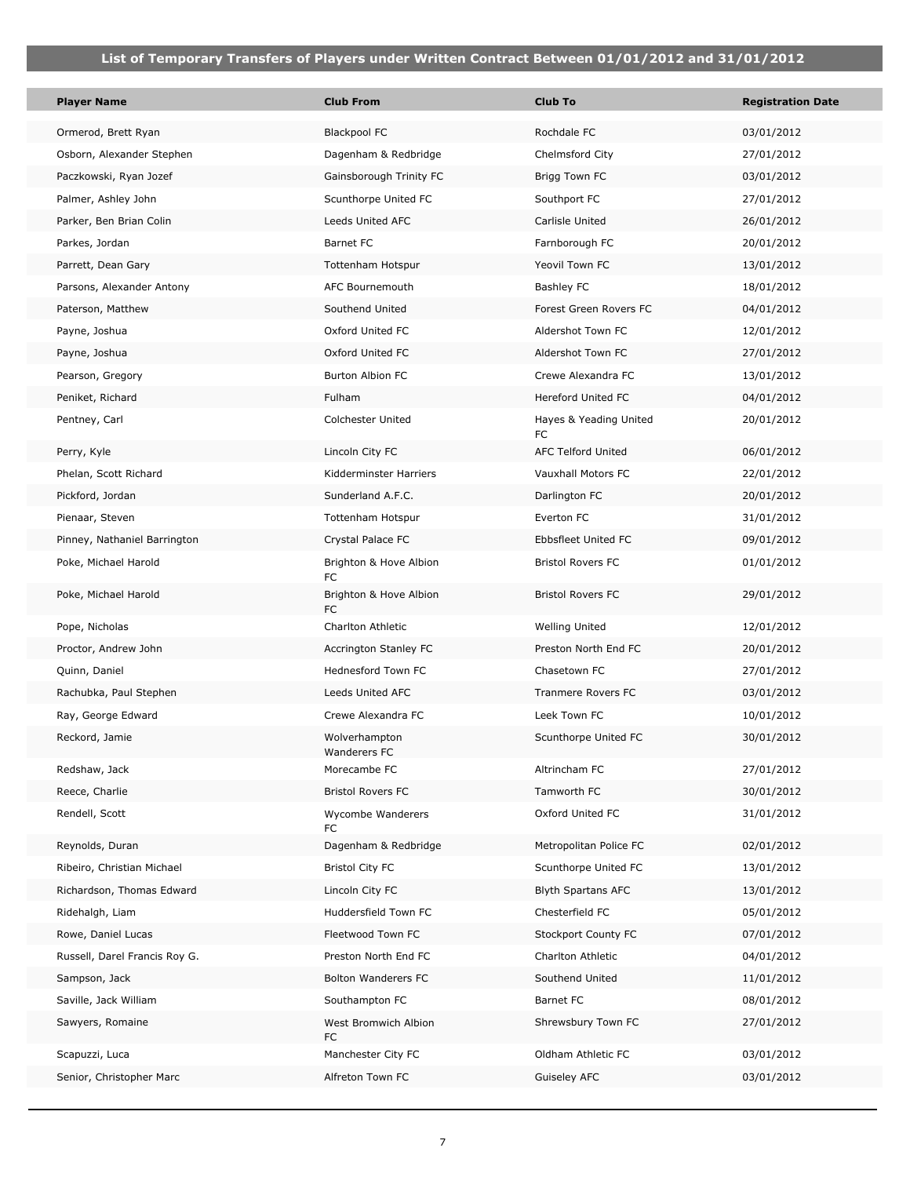| <b>Player Name</b>            | <b>Club From</b>              | <b>Club To</b>               | <b>Registration Date</b> |
|-------------------------------|-------------------------------|------------------------------|--------------------------|
| Ormerod, Brett Ryan           | <b>Blackpool FC</b>           | Rochdale FC                  | 03/01/2012               |
| Osborn, Alexander Stephen     | Dagenham & Redbridge          | Chelmsford City              | 27/01/2012               |
| Paczkowski, Ryan Jozef        | Gainsborough Trinity FC       | Brigg Town FC                | 03/01/2012               |
| Palmer, Ashley John           | Scunthorpe United FC          | Southport FC                 | 27/01/2012               |
| Parker, Ben Brian Colin       | Leeds United AFC              | Carlisle United              | 26/01/2012               |
| Parkes, Jordan                | <b>Barnet FC</b>              | Farnborough FC               | 20/01/2012               |
| Parrett, Dean Gary            | Tottenham Hotspur             | Yeovil Town FC               | 13/01/2012               |
| Parsons, Alexander Antony     | AFC Bournemouth               | <b>Bashley FC</b>            | 18/01/2012               |
| Paterson, Matthew             | Southend United               | Forest Green Rovers FC       | 04/01/2012               |
| Payne, Joshua                 | Oxford United FC              | Aldershot Town FC            | 12/01/2012               |
| Payne, Joshua                 | Oxford United FC              | Aldershot Town FC            | 27/01/2012               |
| Pearson, Gregory              | Burton Albion FC              | Crewe Alexandra FC           | 13/01/2012               |
| Peniket, Richard              | Fulham                        | <b>Hereford United FC</b>    | 04/01/2012               |
| Pentney, Carl                 | Colchester United             | Hayes & Yeading United<br>FC | 20/01/2012               |
| Perry, Kyle                   | Lincoln City FC               | <b>AFC Telford United</b>    | 06/01/2012               |
| Phelan, Scott Richard         | Kidderminster Harriers        | Vauxhall Motors FC           | 22/01/2012               |
| Pickford, Jordan              | Sunderland A.F.C.             | Darlington FC                | 20/01/2012               |
| Pienaar, Steven               | Tottenham Hotspur             | Everton FC                   | 31/01/2012               |
| Pinney, Nathaniel Barrington  | Crystal Palace FC             | Ebbsfleet United FC          | 09/01/2012               |
| Poke, Michael Harold          | Brighton & Hove Albion<br>FC  | <b>Bristol Rovers FC</b>     | 01/01/2012               |
| Poke, Michael Harold          | Brighton & Hove Albion<br>FC. | <b>Bristol Rovers FC</b>     | 29/01/2012               |
| Pope, Nicholas                | Charlton Athletic             | <b>Welling United</b>        | 12/01/2012               |
| Proctor, Andrew John          | Accrington Stanley FC         | Preston North End FC         | 20/01/2012               |
| Quinn, Daniel                 | <b>Hednesford Town FC</b>     | Chasetown FC                 | 27/01/2012               |
| Rachubka, Paul Stephen        | Leeds United AFC              | Tranmere Rovers FC           | 03/01/2012               |
| Ray, George Edward            | Crewe Alexandra FC            | Leek Town FC                 | 10/01/2012               |
| Reckord, Jamie                | Wolverhampton<br>Wanderers FC | Scunthorpe United FC         | 30/01/2012               |
| Redshaw, Jack                 | Morecambe FC                  | Altrincham FC                | 27/01/2012               |
| Reece, Charlie                | <b>Bristol Rovers FC</b>      | Tamworth FC                  | 30/01/2012               |
| Rendell, Scott                | Wycombe Wanderers<br>FC       | Oxford United FC             | 31/01/2012               |
| Reynolds, Duran               | Dagenham & Redbridge          | Metropolitan Police FC       | 02/01/2012               |
| Ribeiro, Christian Michael    | <b>Bristol City FC</b>        | Scunthorpe United FC         | 13/01/2012               |
| Richardson, Thomas Edward     | Lincoln City FC               | <b>Blyth Spartans AFC</b>    | 13/01/2012               |
| Ridehalgh, Liam               | Huddersfield Town FC          | Chesterfield FC              | 05/01/2012               |
| Rowe, Daniel Lucas            | Fleetwood Town FC             | Stockport County FC          | 07/01/2012               |
| Russell, Darel Francis Roy G. | Preston North End FC          | Charlton Athletic            | 04/01/2012               |
| Sampson, Jack                 | <b>Bolton Wanderers FC</b>    | Southend United              | 11/01/2012               |
| Saville, Jack William         | Southampton FC                | <b>Barnet FC</b>             | 08/01/2012               |
| Sawyers, Romaine              | West Bromwich Albion<br>FC    | Shrewsbury Town FC           | 27/01/2012               |
| Scapuzzi, Luca                | Manchester City FC            | Oldham Athletic FC           | 03/01/2012               |
| Senior, Christopher Marc      | Alfreton Town FC              | Guiseley AFC                 | 03/01/2012               |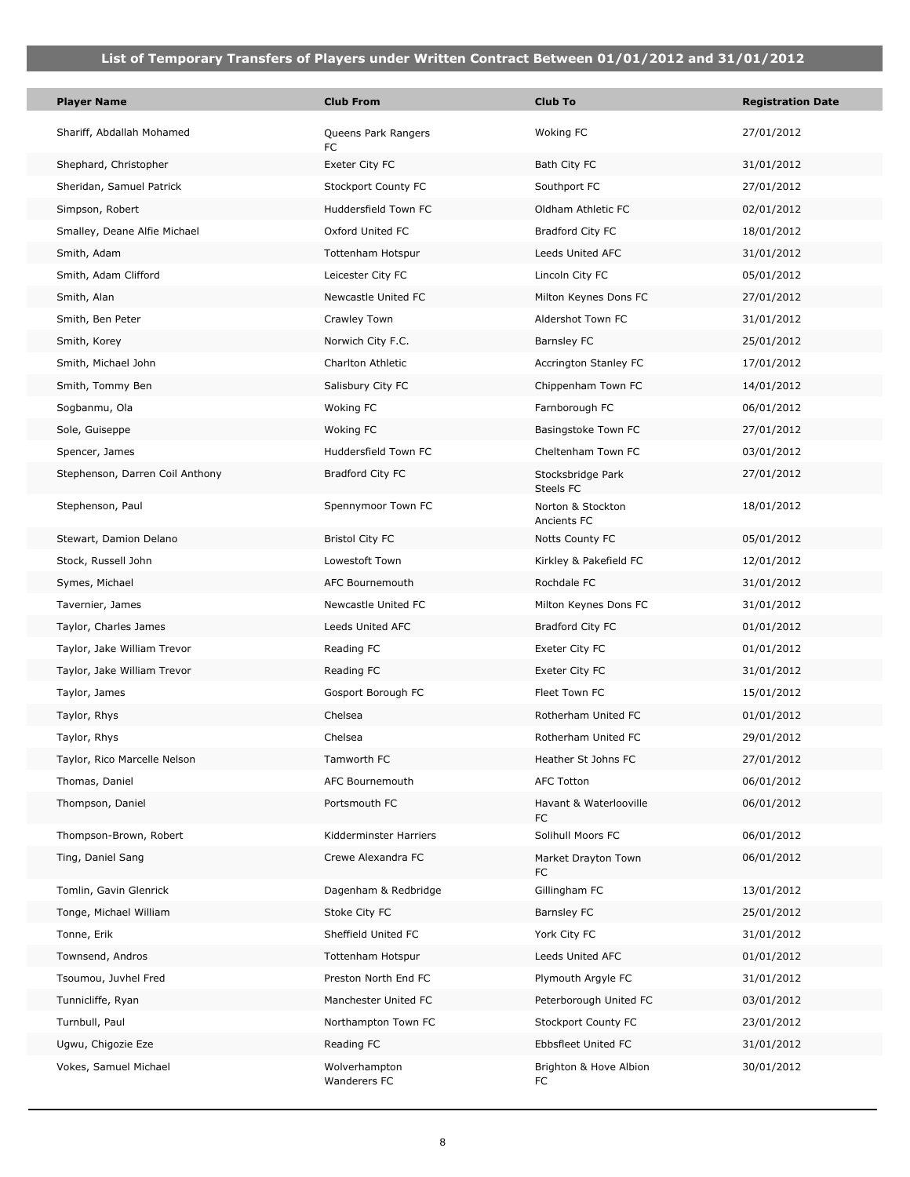**T** 

| <b>Player Name</b>              | <b>Club From</b>              | <b>Club To</b>                   | <b>Registration Date</b> |
|---------------------------------|-------------------------------|----------------------------------|--------------------------|
| Shariff, Abdallah Mohamed       | Queens Park Rangers<br>FC     | Woking FC                        | 27/01/2012               |
| Shephard, Christopher           | Exeter City FC                | Bath City FC                     | 31/01/2012               |
| Sheridan, Samuel Patrick        | Stockport County FC           | Southport FC                     | 27/01/2012               |
| Simpson, Robert                 | Huddersfield Town FC          | Oldham Athletic FC               | 02/01/2012               |
| Smalley, Deane Alfie Michael    | Oxford United FC              | Bradford City FC                 | 18/01/2012               |
| Smith, Adam                     | Tottenham Hotspur             | Leeds United AFC                 | 31/01/2012               |
| Smith, Adam Clifford            | Leicester City FC             | Lincoln City FC                  | 05/01/2012               |
| Smith, Alan                     | Newcastle United FC           | Milton Keynes Dons FC            | 27/01/2012               |
| Smith, Ben Peter                | Crawley Town                  | Aldershot Town FC                | 31/01/2012               |
| Smith, Korey                    | Norwich City F.C.             | Barnsley FC                      | 25/01/2012               |
| Smith, Michael John             | Charlton Athletic             | Accrington Stanley FC            | 17/01/2012               |
| Smith, Tommy Ben                | Salisbury City FC             | Chippenham Town FC               | 14/01/2012               |
| Sogbanmu, Ola                   | Woking FC                     | Farnborough FC                   | 06/01/2012               |
| Sole, Guiseppe                  | Woking FC                     | Basingstoke Town FC              | 27/01/2012               |
| Spencer, James                  | Huddersfield Town FC          | Cheltenham Town FC               | 03/01/2012               |
| Stephenson, Darren Coil Anthony | Bradford City FC              | Stocksbridge Park<br>Steels FC   | 27/01/2012               |
| Stephenson, Paul                | Spennymoor Town FC            | Norton & Stockton<br>Ancients FC | 18/01/2012               |
| Stewart, Damion Delano          | <b>Bristol City FC</b>        | Notts County FC                  | 05/01/2012               |
| Stock, Russell John             | Lowestoft Town                | Kirkley & Pakefield FC           | 12/01/2012               |
| Symes, Michael                  | AFC Bournemouth               | Rochdale FC                      | 31/01/2012               |
| Tavernier, James                | Newcastle United FC           | Milton Keynes Dons FC            | 31/01/2012               |
| Taylor, Charles James           | Leeds United AFC              | Bradford City FC                 | 01/01/2012               |
| Taylor, Jake William Trevor     | Reading FC                    | Exeter City FC                   | 01/01/2012               |
| Taylor, Jake William Trevor     | Reading FC                    | Exeter City FC                   | 31/01/2012               |
| Taylor, James                   | Gosport Borough FC            | Fleet Town FC                    | 15/01/2012               |
| Taylor, Rhys                    | Chelsea                       | Rotherham United FC              | 01/01/2012               |
| Taylor, Rhys                    | Chelsea                       | Rotherham United FC              | 29/01/2012               |
| Taylor, Rico Marcelle Nelson    | Tamworth FC                   | Heather St Johns FC              | 27/01/2012               |
| Thomas, Daniel                  | AFC Bournemouth               | <b>AFC Totton</b>                | 06/01/2012               |
| Thompson, Daniel                | Portsmouth FC                 | Havant & Waterlooville<br>FC     | 06/01/2012               |
| Thompson-Brown, Robert          | Kidderminster Harriers        | Solihull Moors FC                | 06/01/2012               |
| Ting, Daniel Sang               | Crewe Alexandra FC            | Market Drayton Town<br>FC        | 06/01/2012               |
| Tomlin, Gavin Glenrick          | Dagenham & Redbridge          | Gillingham FC                    | 13/01/2012               |
| Tonge, Michael William          | Stoke City FC                 | Barnsley FC                      | 25/01/2012               |
| Tonne, Erik                     | Sheffield United FC           | York City FC                     | 31/01/2012               |
| Townsend, Andros                | Tottenham Hotspur             | Leeds United AFC                 | 01/01/2012               |
| Tsoumou, Juvhel Fred            | Preston North End FC          | Plymouth Argyle FC               | 31/01/2012               |
| Tunnicliffe, Ryan               | Manchester United FC          | Peterborough United FC           | 03/01/2012               |
| Turnbull, Paul                  | Northampton Town FC           | <b>Stockport County FC</b>       | 23/01/2012               |
| Ugwu, Chigozie Eze              | Reading FC                    | Ebbsfleet United FC              | 31/01/2012               |
| Vokes, Samuel Michael           | Wolverhampton<br>Wanderers FC | Brighton & Hove Albion<br>FC     | 30/01/2012               |